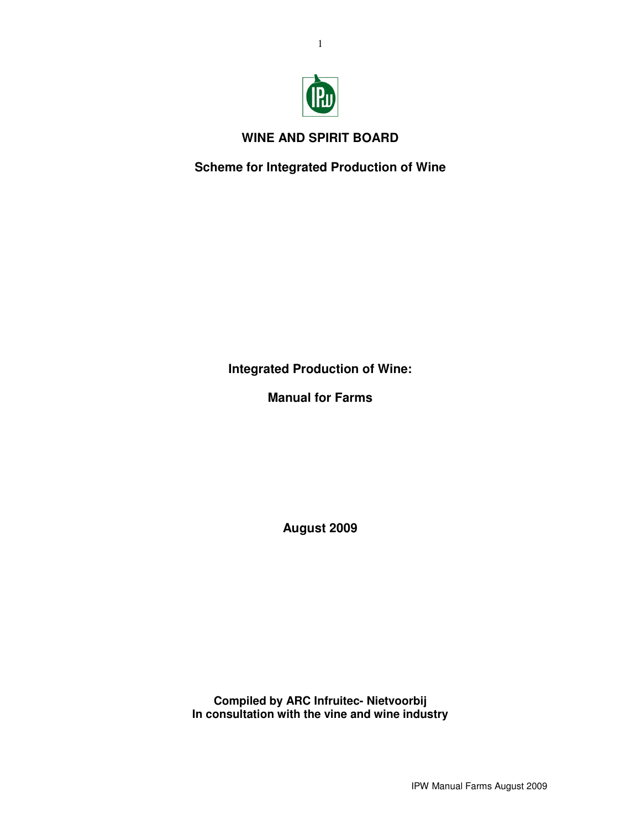

# **WINE AND SPIRIT BOARD**

**Scheme for Integrated Production of Wine** 

**Integrated Production of Wine:** 

**Manual for Farms** 

**August 2009** 

**Compiled by ARC Infruitec- Nietvoorbij In consultation with the vine and wine industry**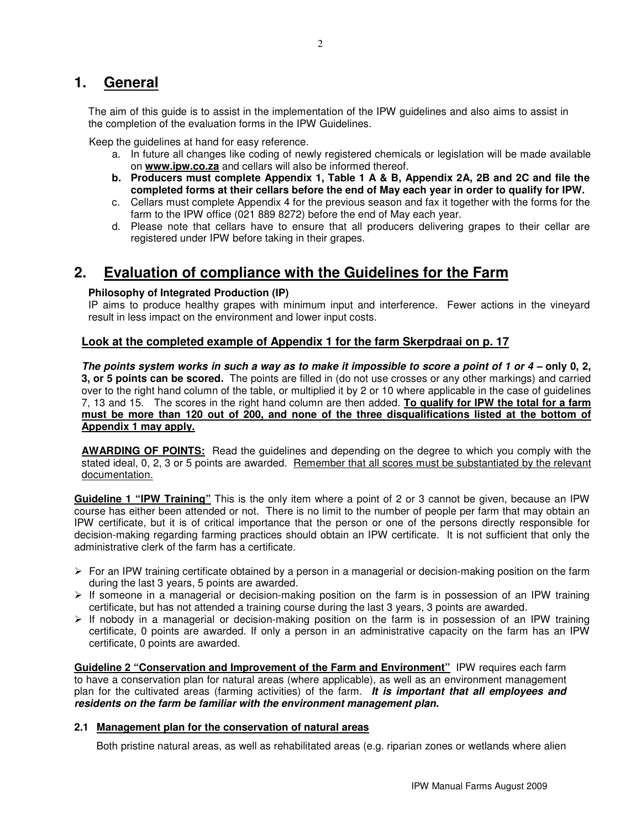## **1. General**

The aim of this guide is to assist in the implementation of the IPW guidelines and also aims to assist in the completion of the evaluation forms in the IPW Guidelines.

Keep the guidelines at hand for easy reference.

- a. In future all changes like coding of newly registered chemicals or legislation will be made available on **www.ipw.co.za** and cellars will also be informed thereof.
- **b. Producers must complete Appendix 1, Table 1 A & B, Appendix 2A, 2B and 2C and file the completed forms at their cellars before the end of May each year in order to qualify for IPW.**
- c. Cellars must complete Appendix 4 for the previous season and fax it together with the forms for the farm to the IPW office (021 889 8272) before the end of May each year.
- d. Please note that cellars have to ensure that all producers delivering grapes to their cellar are registered under IPW before taking in their grapes.

## **2. Evaluation of compliance with the Guidelines for the Farm**

#### **Philosophy of Integrated Production (IP)**

IP aims to produce healthy grapes with minimum input and interference. Fewer actions in the vineyard result in less impact on the environment and lower input costs.

#### **Look at the completed example of Appendix 1 for the farm Skerpdraai on p. 17**

**The points system works in such a way as to make it impossible to score a point of 1 or 4 – only 0, 2, 3, or 5 points can be scored.** The points are filled in (do not use crosses or any other markings) and carried over to the right hand column of the table, or multiplied it by 2 or 10 where applicable in the case of guidelines 7, 13 and 15. The scores in the right hand column are then added. **To qualify for IPW the total for a farm must be more than 120 out of 200, and none of the three disqualifications listed at the bottom of Appendix 1 may apply.**

**AWARDING OF POINTS:** Read the guidelines and depending on the degree to which you comply with the stated ideal, 0, 2, 3 or 5 points are awarded. Remember that all scores must be substantiated by the relevant documentation.

**Guideline 1 "IPW Training"** This is the only item where a point of 2 or 3 cannot be given, because an IPW course has either been attended or not. There is no limit to the number of people per farm that may obtain an IPW certificate, but it is of critical importance that the person or one of the persons directly responsible for decision-making regarding farming practices should obtain an IPW certificate. It is not sufficient that only the administrative clerk of the farm has a certificate.

- $\triangleright$  For an IPW training certificate obtained by a person in a managerial or decision-making position on the farm during the last 3 years, 5 points are awarded.
- $\triangleright$  If someone in a managerial or decision-making position on the farm is in possession of an IPW training certificate, but has not attended a training course during the last 3 years, 3 points are awarded.
- $\triangleright$  If nobody in a managerial or decision-making position on the farm is in possession of an IPW training certificate, 0 points are awarded. If only a person in an administrative capacity on the farm has an IPW certificate, 0 points are awarded.

**Guideline 2 "Conservation and Improvement of the Farm and Environment"** IPW requires each farm to have a conservation plan for natural areas (where applicable), as well as an environment management plan for the cultivated areas (farming activities) of the farm. **It is important that all employees and residents on the farm be familiar with the environment management plan.** 

#### **2.1 Management plan for the conservation of natural areas**

Both pristine natural areas, as well as rehabilitated areas (e.g. riparian zones or wetlands where alien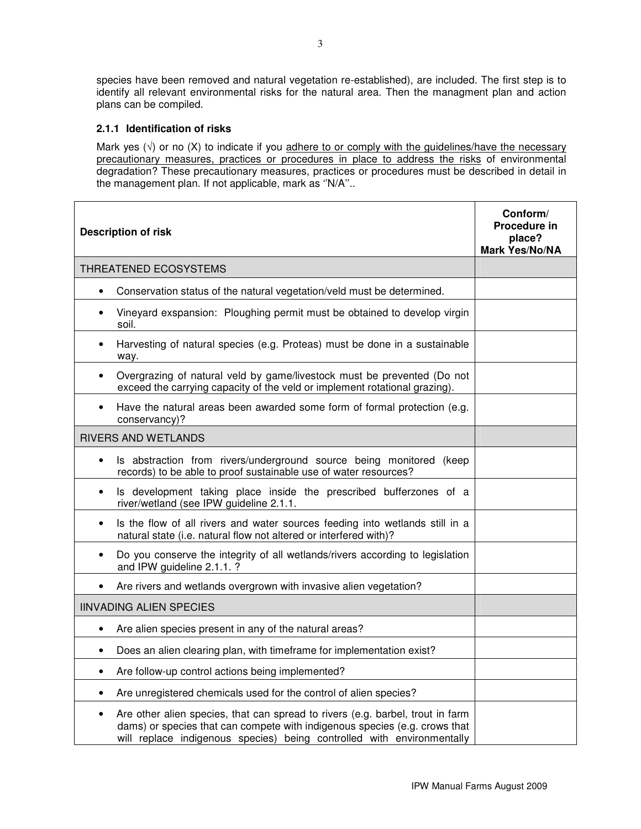species have been removed and natural vegetation re-established), are included. The first step is to identify all relevant environmental risks for the natural area. Then the managment plan and action plans can be compiled.

#### **2.1.1 Identification of risks**

Mark yes  $(\sqrt{2})$  or no  $(X)$  to indicate if you adhere to or comply with the guidelines/have the necessary precautionary measures, practices or procedures in place to address the risks of environmental degradation? These precautionary measures, practices or procedures must be described in detail in the management plan. If not applicable, mark as ''N/A''..

| <b>Description of risk</b>                                                                                                                                                                                                                          | Conform/<br>Procedure in<br>place?<br>Mark Yes/No/NA |
|-----------------------------------------------------------------------------------------------------------------------------------------------------------------------------------------------------------------------------------------------------|------------------------------------------------------|
| THREATENED ECOSYSTEMS                                                                                                                                                                                                                               |                                                      |
| Conservation status of the natural vegetation/veld must be determined.<br>$\bullet$                                                                                                                                                                 |                                                      |
| Vineyard exspansion: Ploughing permit must be obtained to develop virgin<br>soil.                                                                                                                                                                   |                                                      |
| Harvesting of natural species (e.g. Proteas) must be done in a sustainable<br>way.                                                                                                                                                                  |                                                      |
| Overgrazing of natural veld by game/livestock must be prevented (Do not<br>exceed the carrying capacity of the veld or implement rotational grazing).                                                                                               |                                                      |
| Have the natural areas been awarded some form of formal protection (e.g.<br>conservancy)?                                                                                                                                                           |                                                      |
| <b>RIVERS AND WETLANDS</b>                                                                                                                                                                                                                          |                                                      |
| Is abstraction from rivers/underground source being monitored (keep<br>$\bullet$<br>records) to be able to proof sustainable use of water resources?                                                                                                |                                                      |
| Is development taking place inside the prescribed bufferzones of a<br>river/wetland (see IPW guideline 2.1.1.                                                                                                                                       |                                                      |
| Is the flow of all rivers and water sources feeding into wetlands still in a<br>$\bullet$<br>natural state (i.e. natural flow not altered or interfered with)?                                                                                      |                                                      |
| Do you conserve the integrity of all wetlands/rivers according to legislation<br>and IPW guideline 2.1.1.?                                                                                                                                          |                                                      |
| Are rivers and wetlands overgrown with invasive alien vegetation?                                                                                                                                                                                   |                                                      |
| <b>IINVADING ALIEN SPECIES</b>                                                                                                                                                                                                                      |                                                      |
| Are alien species present in any of the natural areas?<br>$\bullet$                                                                                                                                                                                 |                                                      |
| Does an alien clearing plan, with timeframe for implementation exist?<br>$\bullet$                                                                                                                                                                  |                                                      |
| Are follow-up control actions being implemented?<br>$\bullet$                                                                                                                                                                                       |                                                      |
| Are unregistered chemicals used for the control of alien species?<br>$\bullet$                                                                                                                                                                      |                                                      |
| Are other alien species, that can spread to rivers (e.g. barbel, trout in farm<br>$\bullet$<br>dams) or species that can compete with indigenous species (e.g. crows that<br>will replace indigenous species) being controlled with environmentally |                                                      |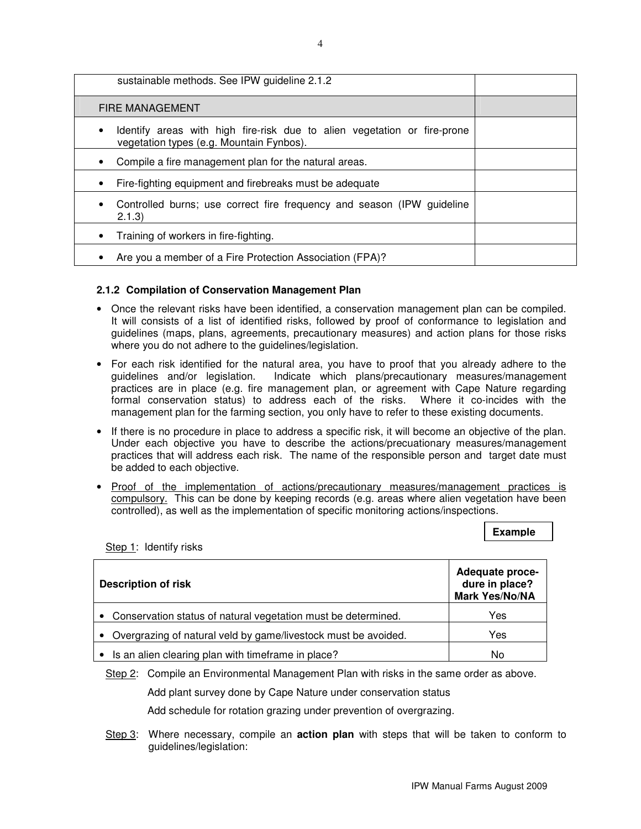| sustainable methods. See IPW guideline 2.1.2                                                                         |  |
|----------------------------------------------------------------------------------------------------------------------|--|
| <b>FIRE MANAGEMENT</b>                                                                                               |  |
| Identify areas with high fire-risk due to alien vegetation or fire-prone<br>vegetation types (e.g. Mountain Fynbos). |  |
| Compile a fire management plan for the natural areas.                                                                |  |
| Fire-fighting equipment and firebreaks must be adequate                                                              |  |
| Controlled burns; use correct fire frequency and season (IPW guideline<br>2.1.3)                                     |  |
| Training of workers in fire-fighting.                                                                                |  |
| Are you a member of a Fire Protection Association (FPA)?                                                             |  |

#### **2.1.2 Compilation of Conservation Management Plan**

Step 1: Identify risks

- Once the relevant risks have been identified, a conservation management plan can be compiled. It will consists of a list of identified risks, followed by proof of conformance to legislation and guidelines (maps, plans, agreements, precautionary measures) and action plans for those risks where you do not adhere to the guidelines/legislation.
- For each risk identified for the natural area, you have to proof that you already adhere to the guidelines and/or legislation. Indicate which plans/precautionary measures/management practices are in place (e.g. fire management plan, or agreement with Cape Nature regarding formal conservation status) to address each of the risks. Where it co-incides with the management plan for the farming section, you only have to refer to these existing documents.
- If there is no procedure in place to address a specific risk, it will become an objective of the plan. Under each objective you have to describe the actions/precuationary measures/management practices that will address each risk. The name of the responsible person and target date must be added to each objective.
- Proof of the implementation of actions/precautionary measures/management practices is compulsory. This can be done by keeping records (e.g. areas where alien vegetation have been controlled), as well as the implementation of specific monitoring actions/inspections.

**Example**

| <b>Description of risk</b>                                                  | Adequate proce-<br>dure in place?<br><b>Mark Yes/No/NA</b> |
|-----------------------------------------------------------------------------|------------------------------------------------------------|
| • Conservation status of natural vegetation must be determined.             | Yes                                                        |
| Overgrazing of natural veld by game/livestock must be avoided.<br>$\bullet$ | Yes                                                        |
| • Is an alien clearing plan with timeframe in place?                        | No                                                         |

Step 2: Compile an Environmental Management Plan with risks in the same order as above. Add plant survey done by Cape Nature under conservation status Add schedule for rotation grazing under prevention of overgrazing.

Step 3: Where necessary, compile an **action plan** with steps that will be taken to conform to guidelines/legislation: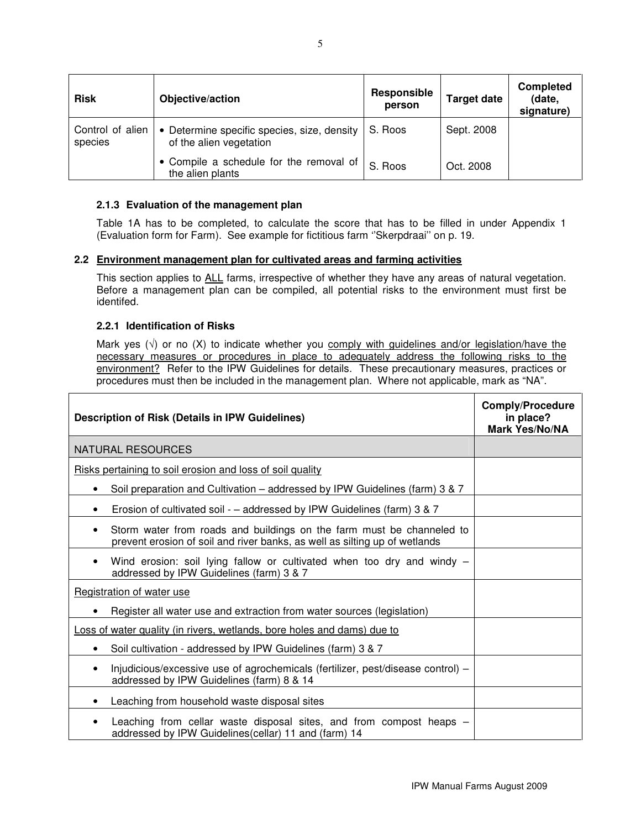| <b>Risk</b>                 | Objective/action                                                       | Responsible<br>person | <b>Target date</b> | <b>Completed</b><br>(date,<br>signature) |
|-----------------------------|------------------------------------------------------------------------|-----------------------|--------------------|------------------------------------------|
| Control of alien<br>species | • Determine specific species, size, density<br>of the alien vegetation | S. Roos               | Sept. 2008         |                                          |
|                             | • Compile a schedule for the removal of<br>the alien plants            | S. Roos               | Oct. 2008          |                                          |

#### **2.1.3 Evaluation of the management plan**

Table 1A has to be completed, to calculate the score that has to be filled in under Appendix 1 (Evaluation form for Farm). See example for fictitious farm ''Skerpdraai'' on p. 19.

#### **2.2 Environment management plan for cultivated areas and farming activities**

This section applies to ALL farms, irrespective of whether they have any areas of natural vegetation. Before a management plan can be compiled, all potential risks to the environment must first be identifed.

#### **2.2.1 Identification of Risks**

Mark yes  $(\sqrt{})$  or no  $(X)$  to indicate whether you comply with guidelines and/or legislation/have the necessary measures or procedures in place to adequately address the following risks to the environment? Refer to the IPW Guidelines for details. These precautionary measures, practices or procedures must then be included in the management plan. Where not applicable, mark as "NA".

| <b>Description of Risk (Details in IPW Guidelines)</b>                                                                                              | <b>Comply/Procedure</b><br>in place?<br>Mark Yes/No/NA |
|-----------------------------------------------------------------------------------------------------------------------------------------------------|--------------------------------------------------------|
| <b>NATURAL RESOURCES</b>                                                                                                                            |                                                        |
| Risks pertaining to soil erosion and loss of soil quality                                                                                           |                                                        |
| Soil preparation and Cultivation – addressed by IPW Guidelines (farm) 3 & 7                                                                         |                                                        |
| Erosion of cultivated soil - - addressed by IPW Guidelines (farm) 3 & 7                                                                             |                                                        |
| Storm water from roads and buildings on the farm must be channeled to<br>prevent erosion of soil and river banks, as well as silting up of wetlands |                                                        |
| Wind erosion: soil lying fallow or cultivated when too dry and windy $-$<br>addressed by IPW Guidelines (farm) 3 & 7                                |                                                        |
| Registration of water use                                                                                                                           |                                                        |
| Register all water use and extraction from water sources (legislation)                                                                              |                                                        |
| Loss of water quality (in rivers, wetlands, bore holes and dams) due to                                                                             |                                                        |
| Soil cultivation - addressed by IPW Guidelines (farm) 3 & 7                                                                                         |                                                        |
| Injudicious/excessive use of agrochemicals (fertilizer, pest/disease control) –<br>addressed by IPW Guidelines (farm) 8 & 14                        |                                                        |
| Leaching from household waste disposal sites                                                                                                        |                                                        |
| Leaching from cellar waste disposal sites, and from compost heaps -<br>$\bullet$<br>addressed by IPW Guidelines(cellar) 11 and (farm) 14            |                                                        |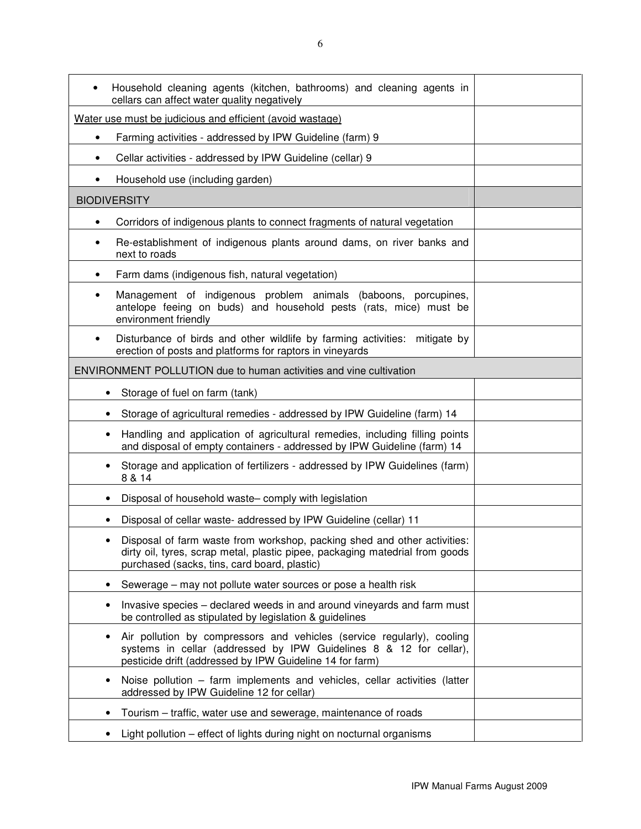| Household cleaning agents (kitchen, bathrooms) and cleaning agents in<br>cellars can affect water quality negatively                                                                                     |  |
|----------------------------------------------------------------------------------------------------------------------------------------------------------------------------------------------------------|--|
| Water use must be judicious and efficient (avoid wastage)                                                                                                                                                |  |
| Farming activities - addressed by IPW Guideline (farm) 9                                                                                                                                                 |  |
| Cellar activities - addressed by IPW Guideline (cellar) 9<br>٠                                                                                                                                           |  |
| Household use (including garden)<br>٠                                                                                                                                                                    |  |
| <b>BIODIVERSITY</b>                                                                                                                                                                                      |  |
| Corridors of indigenous plants to connect fragments of natural vegetation<br>٠                                                                                                                           |  |
| Re-establishment of indigenous plants around dams, on river banks and<br>٠<br>next to roads                                                                                                              |  |
| Farm dams (indigenous fish, natural vegetation)<br>$\bullet$                                                                                                                                             |  |
| Management of indigenous problem animals (baboons, porcupines,<br>٠<br>antelope feeing on buds) and household pests (rats, mice) must be<br>environment friendly                                         |  |
| Disturbance of birds and other wildlife by farming activities: mitigate by<br>erection of posts and platforms for raptors in vineyards                                                                   |  |
| <b>ENVIRONMENT POLLUTION due to human activities and vine cultivation</b>                                                                                                                                |  |
| Storage of fuel on farm (tank)<br>٠                                                                                                                                                                      |  |
| Storage of agricultural remedies - addressed by IPW Guideline (farm) 14                                                                                                                                  |  |
| Handling and application of agricultural remedies, including filling points<br>and disposal of empty containers - addressed by IPW Guideline (farm) 14                                                   |  |
| Storage and application of fertilizers - addressed by IPW Guidelines (farm)<br>8 & 14                                                                                                                    |  |
| Disposal of household waste-comply with legislation                                                                                                                                                      |  |
| Disposal of cellar waste- addressed by IPW Guideline (cellar) 11                                                                                                                                         |  |
| Disposal of farm waste from workshop, packing shed and other activities:<br>dirty oil, tyres, scrap metal, plastic pipee, packaging matedrial from goods<br>purchased (sacks, tins, card board, plastic) |  |
| Sewerage – may not pollute water sources or pose a health risk                                                                                                                                           |  |
| Invasive species – declared weeds in and around vineyards and farm must<br>be controlled as stipulated by legislation & guidelines                                                                       |  |
| Air pollution by compressors and vehicles (service regularly), cooling<br>systems in cellar (addressed by IPW Guidelines 8 & 12 for cellar),<br>pesticide drift (addressed by IPW Guideline 14 for farm) |  |
| Noise pollution – farm implements and vehicles, cellar activities (latter<br>addressed by IPW Guideline 12 for cellar)                                                                                   |  |
| Tourism – traffic, water use and sewerage, maintenance of roads                                                                                                                                          |  |
| Light pollution – effect of lights during night on nocturnal organisms                                                                                                                                   |  |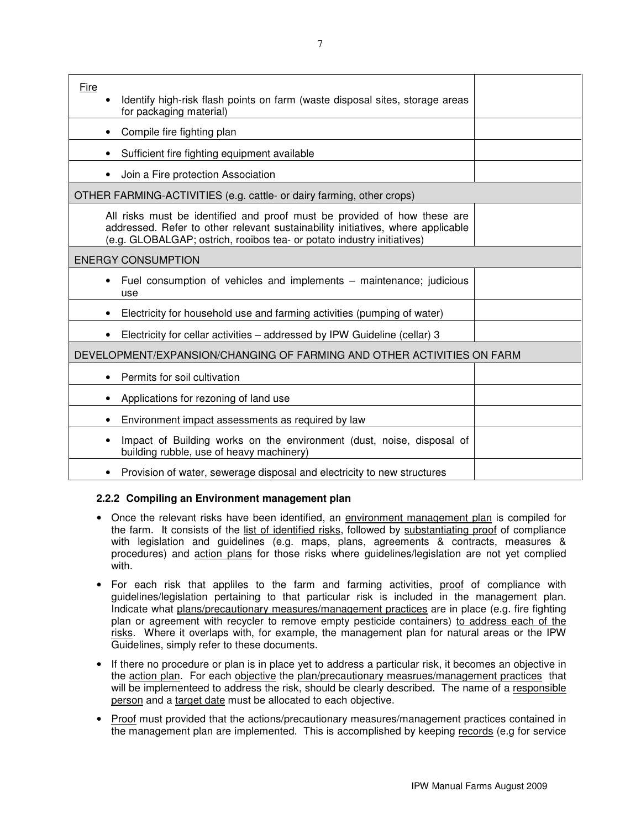| Fire<br>Identify high-risk flash points on farm (waste disposal sites, storage areas                                                                                                                                                  |  |
|---------------------------------------------------------------------------------------------------------------------------------------------------------------------------------------------------------------------------------------|--|
| for packaging material)                                                                                                                                                                                                               |  |
| Compile fire fighting plan                                                                                                                                                                                                            |  |
| Sufficient fire fighting equipment available                                                                                                                                                                                          |  |
| Join a Fire protection Association                                                                                                                                                                                                    |  |
| OTHER FARMING-ACTIVITIES (e.g. cattle- or dairy farming, other crops)                                                                                                                                                                 |  |
| All risks must be identified and proof must be provided of how these are<br>addressed. Refer to other relevant sustainability initiatives, where applicable<br>(e.g. GLOBALGAP; ostrich, rooibos tea- or potato industry initiatives) |  |
| <b>ENERGY CONSUMPTION</b>                                                                                                                                                                                                             |  |
| Fuel consumption of vehicles and implements – maintenance; judicious<br>use                                                                                                                                                           |  |
| Electricity for household use and farming activities (pumping of water)                                                                                                                                                               |  |
| Electricity for cellar activities - addressed by IPW Guideline (cellar) 3                                                                                                                                                             |  |
| DEVELOPMENT/EXPANSION/CHANGING OF FARMING AND OTHER ACTIVITIES ON FARM                                                                                                                                                                |  |
| Permits for soil cultivation                                                                                                                                                                                                          |  |
| Applications for rezoning of land use                                                                                                                                                                                                 |  |
| Environment impact assessments as required by law                                                                                                                                                                                     |  |
| Impact of Building works on the environment (dust, noise, disposal of<br>building rubble, use of heavy machinery)                                                                                                                     |  |
| Provision of water, sewerage disposal and electricity to new structures                                                                                                                                                               |  |

#### **2.2.2 Compiling an Environment management plan**

- Once the relevant risks have been identified, an environment management plan is compiled for the farm. It consists of the list of identified risks, followed by substantiating proof of compliance with legislation and guidelines (e.g. maps, plans, agreements & contracts, measures & procedures) and action plans for those risks where guidelines/legislation are not yet complied with.
- For each risk that appliles to the farm and farming activities, proof of compliance with guidelines/legislation pertaining to that particular risk is included in the management plan. Indicate what plans/precautionary measures/management practices are in place (e.g. fire fighting plan or agreement with recycler to remove empty pesticide containers) to address each of the risks. Where it overlaps with, for example, the management plan for natural areas or the IPW Guidelines, simply refer to these documents.
- If there no procedure or plan is in place yet to address a particular risk, it becomes an objective in the action plan. For each objective the plan/precautionary measrues/management practices that will be implementeed to address the risk, should be clearly described. The name of a responsible person and a target date must be allocated to each objective.
- Proof must provided that the actions/precautionary measures/management practices contained in the management plan are implemented. This is accomplished by keeping records (e.g for service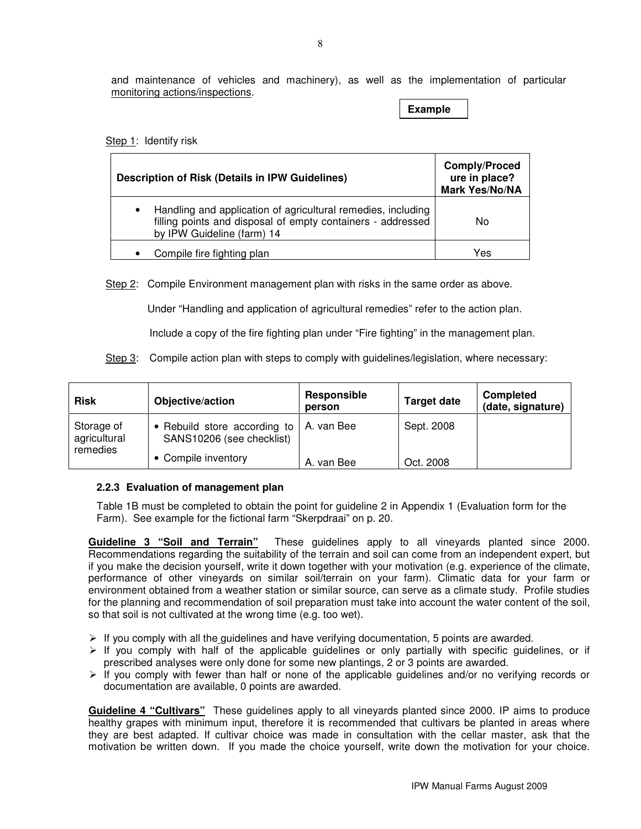and maintenance of vehicles and machinery), as well as the implementation of particular monitoring actions/inspections.

**Example**

#### Step 1: Identify risk

| <b>Description of Risk (Details in IPW Guidelines)</b>                                                                                                                 | <b>Comply/Proced</b><br>ure in place?<br>Mark Yes/No/NA |
|------------------------------------------------------------------------------------------------------------------------------------------------------------------------|---------------------------------------------------------|
| Handling and application of agricultural remedies, including<br>$\bullet$<br>filling points and disposal of empty containers - addressed<br>by IPW Guideline (farm) 14 | No                                                      |
| Compile fire fighting plan                                                                                                                                             | Yes                                                     |

Step 2: Compile Environment management plan with risks in the same order as above.

Under "Handling and application of agricultural remedies" refer to the action plan.

Include a copy of the fire fighting plan under "Fire fighting" in the management plan.

Step 3: Compile action plan with steps to comply with guidelines/legislation, where necessary:

| <b>Risk</b>                | Objective/action                                          | Responsible<br>person | <b>Target date</b> | <b>Completed</b><br>(date, signature) |
|----------------------------|-----------------------------------------------------------|-----------------------|--------------------|---------------------------------------|
| Storage of<br>agricultural | • Rebuild store according to<br>SANS10206 (see checklist) | A. van Bee            | Sept. 2008         |                                       |
| remedies                   | • Compile inventory                                       | A. van Bee            | Oct. 2008          |                                       |

#### **2.2.3 Evaluation of management plan**

Table 1B must be completed to obtain the point for guideline 2 in Appendix 1 (Evaluation form for the Farm). See example for the fictional farm "Skerpdraai" on p. 20.

**Guideline 3 "Soil and Terrain"** These guidelines apply to all vineyards planted since 2000. Recommendations regarding the suitability of the terrain and soil can come from an independent expert, but if you make the decision yourself, write it down together with your motivation (e.g. experience of the climate, performance of other vineyards on similar soil/terrain on your farm). Climatic data for your farm or environment obtained from a weather station or similar source, can serve as a climate study. Profile studies for the planning and recommendation of soil preparation must take into account the water content of the soil, so that soil is not cultivated at the wrong time (e.g. too wet).

- $\triangleright$  If you comply with all the guidelines and have verifying documentation, 5 points are awarded.
- $\triangleright$  If you comply with half of the applicable guidelines or only partially with specific guidelines, or if prescribed analyses were only done for some new plantings, 2 or 3 points are awarded.
- $\triangleright$  If you comply with fewer than half or none of the applicable guidelines and/or no verifying records or documentation are available, 0 points are awarded.

**Guideline 4 "Cultivars"** These guidelines apply to all vineyards planted since 2000. IP aims to produce healthy grapes with minimum input, therefore it is recommended that cultivars be planted in areas where they are best adapted. If cultivar choice was made in consultation with the cellar master, ask that the motivation be written down. If you made the choice yourself, write down the motivation for your choice.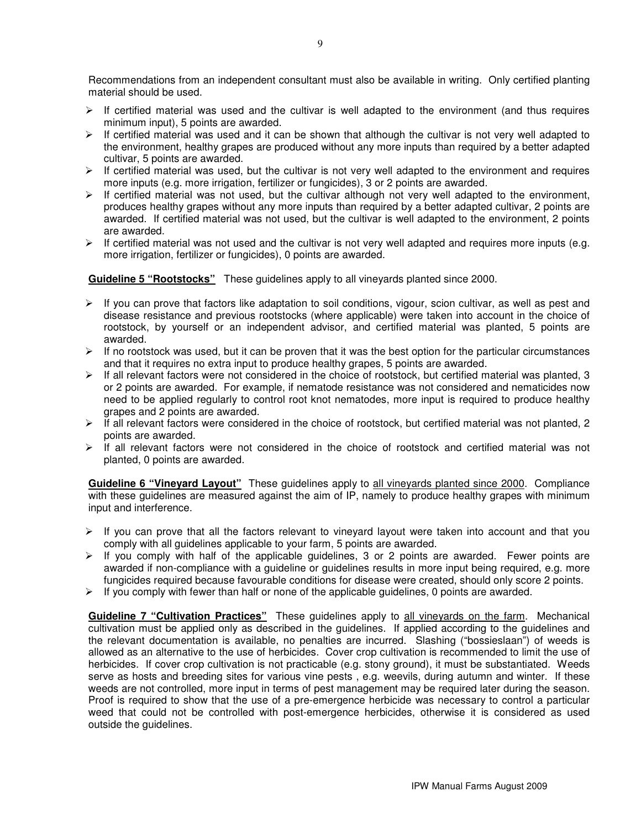Recommendations from an independent consultant must also be available in writing. Only certified planting material should be used.

- $\triangleright$  If certified material was used and the cultivar is well adapted to the environment (and thus requires minimum input), 5 points are awarded.
- $\triangleright$  If certified material was used and it can be shown that although the cultivar is not very well adapted to the environment, healthy grapes are produced without any more inputs than required by a better adapted cultivar, 5 points are awarded.
- $\triangleright$  If certified material was used, but the cultivar is not very well adapted to the environment and requires more inputs (e.g. more irrigation, fertilizer or fungicides), 3 or 2 points are awarded.
- $\triangleright$  If certified material was not used, but the cultivar although not very well adapted to the environment, produces healthy grapes without any more inputs than required by a better adapted cultivar, 2 points are awarded. If certified material was not used, but the cultivar is well adapted to the environment, 2 points are awarded.
- $\triangleright$  If certified material was not used and the cultivar is not very well adapted and requires more inputs (e.g. more irrigation, fertilizer or fungicides), 0 points are awarded.

**Guideline 5 "Rootstocks"** These guidelines apply to all vineyards planted since 2000.

- $\triangleright$  If you can prove that factors like adaptation to soil conditions, vigour, scion cultivar, as well as pest and disease resistance and previous rootstocks (where applicable) were taken into account in the choice of rootstock, by yourself or an independent advisor, and certified material was planted, 5 points are awarded.
- $\triangleright$  If no rootstock was used, but it can be proven that it was the best option for the particular circumstances and that it requires no extra input to produce healthy grapes, 5 points are awarded.
- $\triangleright$  If all relevant factors were not considered in the choice of rootstock, but certified material was planted, 3 or 2 points are awarded. For example, if nematode resistance was not considered and nematicides now need to be applied regularly to control root knot nematodes, more input is required to produce healthy grapes and 2 points are awarded.
- $\triangleright$  If all relevant factors were considered in the choice of rootstock, but certified material was not planted, 2 points are awarded.
- $\triangleright$  If all relevant factors were not considered in the choice of rootstock and certified material was not planted, 0 points are awarded.

**Guideline 6 "Vineyard Layout"** These guidelines apply to all vineyards planted since 2000. Compliance with these guidelines are measured against the aim of IP, namely to produce healthy grapes with minimum input and interference.

- $\triangleright$  If you can prove that all the factors relevant to vineyard layout were taken into account and that you comply with all guidelines applicable to your farm, 5 points are awarded.
- $\triangleright$  If you comply with half of the applicable guidelines, 3 or 2 points are awarded. Fewer points are awarded if non-compliance with a guideline or guidelines results in more input being required, e.g. more fungicides required because favourable conditions for disease were created, should only score 2 points.
- $\triangleright$  If you comply with fewer than half or none of the applicable guidelines, 0 points are awarded.

**Guideline 7 "Cultivation Practices"** These guidelines apply to all vineyards on the farm. Mechanical cultivation must be applied only as described in the guidelines. If applied according to the guidelines and the relevant documentation is available, no penalties are incurred. Slashing ("bossieslaan") of weeds is allowed as an alternative to the use of herbicides. Cover crop cultivation is recommended to limit the use of herbicides. If cover crop cultivation is not practicable (e.g. stony ground), it must be substantiated. Weeds serve as hosts and breeding sites for various vine pests , e.g. weevils, during autumn and winter. If these weeds are not controlled, more input in terms of pest management may be required later during the season. Proof is required to show that the use of a pre-emergence herbicide was necessary to control a particular weed that could not be controlled with post-emergence herbicides, otherwise it is considered as used outside the guidelines.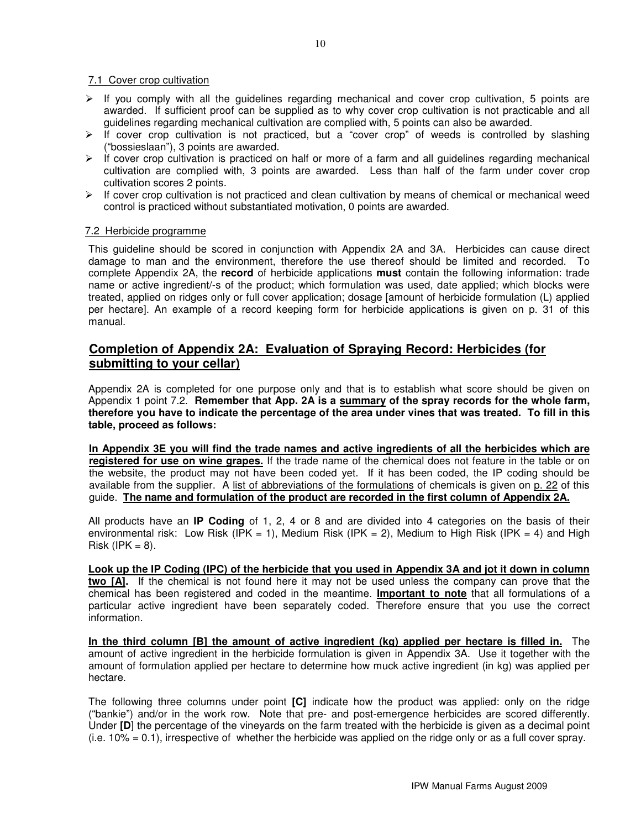#### 7.1 Cover crop cultivation

- $\triangleright$  If you comply with all the guidelines regarding mechanical and cover crop cultivation, 5 points are awarded. If sufficient proof can be supplied as to why cover crop cultivation is not practicable and all guidelines regarding mechanical cultivation are complied with, 5 points can also be awarded.
- $\triangleright$  If cover crop cultivation is not practiced, but a "cover crop" of weeds is controlled by slashing ("bossieslaan"), 3 points are awarded.
- $\triangleright$  If cover crop cultivation is practiced on half or more of a farm and all guidelines regarding mechanical cultivation are complied with, 3 points are awarded. Less than half of the farm under cover crop cultivation scores 2 points.
- $\triangleright$  If cover crop cultivation is not practiced and clean cultivation by means of chemical or mechanical weed control is practiced without substantiated motivation, 0 points are awarded.

#### 7.2 Herbicide programme

This guideline should be scored in conjunction with Appendix 2A and 3A. Herbicides can cause direct damage to man and the environment, therefore the use thereof should be limited and recorded. To complete Appendix 2A, the **record** of herbicide applications **must** contain the following information: trade name or active ingredient/-s of the product; which formulation was used, date applied; which blocks were treated, applied on ridges only or full cover application; dosage [amount of herbicide formulation (L) applied per hectare]. An example of a record keeping form for herbicide applications is given on p. 31 of this manual.

## **Completion of Appendix 2A: Evaluation of Spraying Record: Herbicides (for submitting to your cellar)**

Appendix 2A is completed for one purpose only and that is to establish what score should be given on Appendix 1 point 7.2. **Remember that App. 2A is a summary of the spray records for the whole farm, therefore you have to indicate the percentage of the area under vines that was treated. To fill in this table, proceed as follows:** 

**In Appendix 3E you will find the trade names and active ingredients of all the herbicides which are registered for use on wine grapes.** If the trade name of the chemical does not feature in the table or on the website, the product may not have been coded yet. If it has been coded, the IP coding should be available from the supplier. A list of abbreviations of the formulations of chemicals is given on p. 22 of this guide. **The name and formulation of the product are recorded in the first column of Appendix 2A.**

All products have an **IP Coding** of 1, 2, 4 or 8 and are divided into 4 categories on the basis of their environmental risk: Low Risk (IPK = 1), Medium Risk (IPK = 2), Medium to High Risk (IPK = 4) and High Risk (IPK  $= 8$ ).

**Look up the IP Coding (IPC) of the herbicide that you used in Appendix 3A and jot it down in column two [A].** If the chemical is not found here it may not be used unless the company can prove that the chemical has been registered and coded in the meantime. **Important to note** that all formulations of a particular active ingredient have been separately coded. Therefore ensure that you use the correct information.

**In the third column [B] the amount of active ingredient (kg) applied per hectare is filled in.** The amount of active ingredient in the herbicide formulation is given in Appendix 3A. Use it together with the amount of formulation applied per hectare to determine how muck active ingredient (in kg) was applied per hectare.

The following three columns under point **[C]** indicate how the product was applied: only on the ridge ("bankie") and/or in the work row. Note that pre- and post-emergence herbicides are scored differently. Under **[D**] the percentage of the vineyards on the farm treated with the herbicide is given as a decimal point (i.e. 10% = 0.1), irrespective of whether the herbicide was applied on the ridge only or as a full cover spray.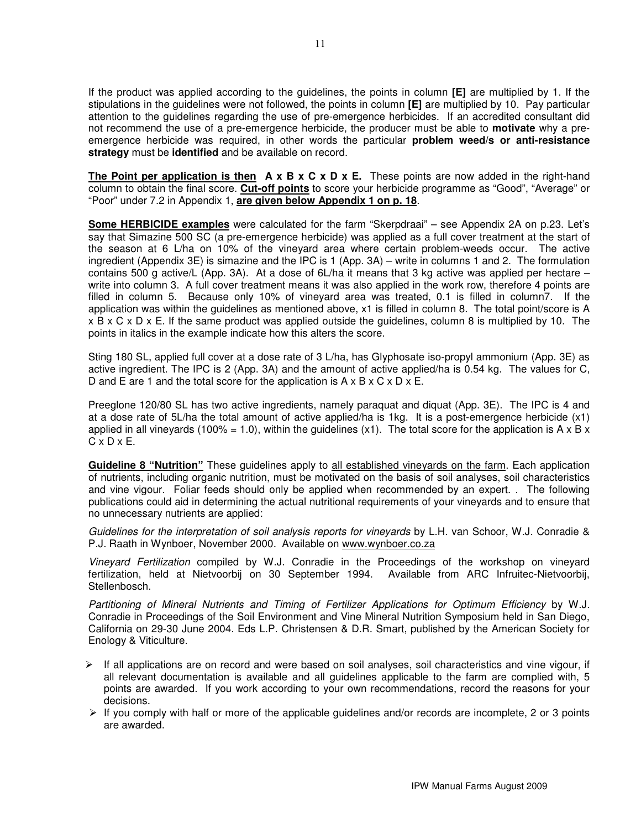If the product was applied according to the guidelines, the points in column **[E]** are multiplied by 1. If the stipulations in the guidelines were not followed, the points in column **[E]** are multiplied by 10. Pay particular attention to the guidelines regarding the use of pre-emergence herbicides. If an accredited consultant did not recommend the use of a pre-emergence herbicide, the producer must be able to **motivate** why a preemergence herbicide was required, in other words the particular **problem weed/s or anti-resistance strategy** must be **identified** and be available on record.

**The Point per application is then A x B x C x D x E.** These points are now added in the right-hand column to obtain the final score. **Cut-off points** to score your herbicide programme as "Good", "Average" or "Poor" under 7.2 in Appendix 1, **are given below Appendix 1 on p. 18**.

**Some HERBICIDE examples** were calculated for the farm "Skerpdraai" – see Appendix 2A on p.23. Let's say that Simazine 500 SC (a pre-emergence herbicide) was applied as a full cover treatment at the start of the season at 6 L/ha on 10% of the vineyard area where certain problem-weeds occur. The active ingredient (Appendix 3E) is simazine and the IPC is 1 (App. 3A) – write in columns 1 and 2. The formulation contains 500 g active/L (App. 3A). At a dose of  $6L/ha$  it means that 3 kg active was applied per hectare – write into column 3. A full cover treatment means it was also applied in the work row, therefore 4 points are filled in column 5. Because only 10% of vineyard area was treated, 0.1 is filled in column7. If the application was within the guidelines as mentioned above, x1 is filled in column 8. The total point/score is A x B x C x D x E. If the same product was applied outside the guidelines, column 8 is multiplied by 10. The points in italics in the example indicate how this alters the score.

Sting 180 SL, applied full cover at a dose rate of 3 L/ha, has Glyphosate iso-propyl ammonium (App. 3E) as active ingredient. The IPC is 2 (App. 3A) and the amount of active applied/ha is 0.54 kg. The values for C, D and E are 1 and the total score for the application is  $A \times B \times C \times D \times E$ .

Preeglone 120/80 SL has two active ingredients, namely paraquat and diquat (App. 3E). The IPC is 4 and at a dose rate of 5L/ha the total amount of active applied/ha is 1kg. It is a post-emergence herbicide (x1) applied in all vineyards (100% = 1.0), within the guidelines  $(x1)$ . The total score for the application is A x B x  $C \times D \times E$ .

**Guideline 8 "Nutrition"** These guidelines apply to all established vineyards on the farm. Each application of nutrients, including organic nutrition, must be motivated on the basis of soil analyses, soil characteristics and vine vigour. Foliar feeds should only be applied when recommended by an expert. . The following publications could aid in determining the actual nutritional requirements of your vineyards and to ensure that no unnecessary nutrients are applied:

Guidelines for the interpretation of soil analysis reports for vineyards by L.H. van Schoor, W.J. Conradie & P.J. Raath in Wynboer, November 2000. Available on www.wynboer.co.za

Vineyard Fertilization compiled by W.J. Conradie in the Proceedings of the workshop on vineyard fertilization, held at Nietvoorbij on 30 September 1994. Available from ARC Infruitec-Nietvoorbij, Stellenbosch.

Partitioning of Mineral Nutrients and Timing of Fertilizer Applications for Optimum Efficiency by W.J. Conradie in Proceedings of the Soil Environment and Vine Mineral Nutrition Symposium held in San Diego, California on 29-30 June 2004. Eds L.P. Christensen & D.R. Smart, published by the American Society for Enology & Viticulture.

- $\triangleright$  If all applications are on record and were based on soil analyses, soil characteristics and vine vigour, if all relevant documentation is available and all guidelines applicable to the farm are complied with, 5 points are awarded. If you work according to your own recommendations, record the reasons for your decisions.
- $\triangleright$  If you comply with half or more of the applicable guidelines and/or records are incomplete, 2 or 3 points are awarded.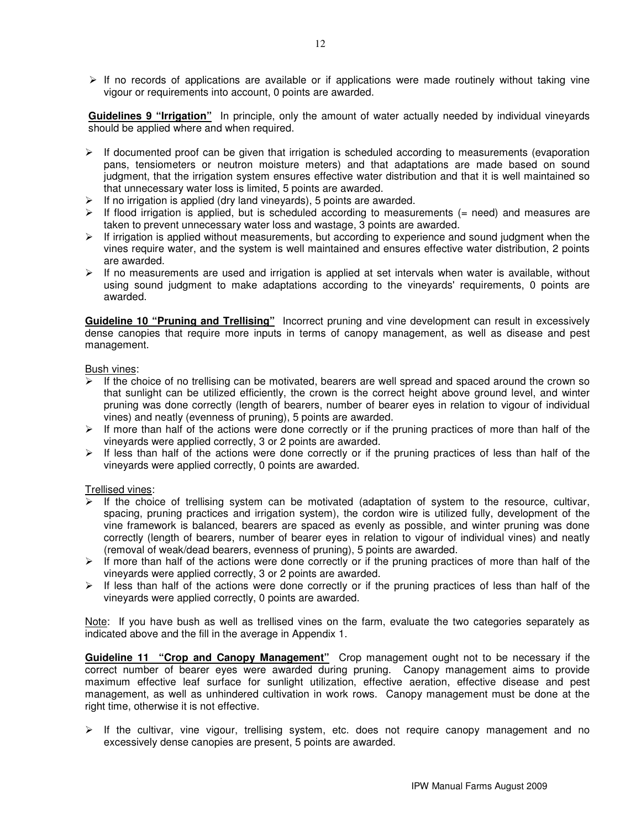$\triangleright$  If no records of applications are available or if applications were made routinely without taking vine vigour or requirements into account, 0 points are awarded.

**Guidelines 9 "Irrigation"** In principle, only the amount of water actually needed by individual vineyards should be applied where and when required.

- $\triangleright$  If documented proof can be given that irrigation is scheduled according to measurements (evaporation pans, tensiometers or neutron moisture meters) and that adaptations are made based on sound judgment, that the irrigation system ensures effective water distribution and that it is well maintained so that unnecessary water loss is limited, 5 points are awarded.
- $\triangleright$  If no irrigation is applied (dry land vineyards), 5 points are awarded.
- $\triangleright$  If flood irrigation is applied, but is scheduled according to measurements (= need) and measures are taken to prevent unnecessary water loss and wastage, 3 points are awarded.
- $\triangleright$  If irrigation is applied without measurements, but according to experience and sound judgment when the vines require water, and the system is well maintained and ensures effective water distribution, 2 points are awarded.
- $\triangleright$  If no measurements are used and irrigation is applied at set intervals when water is available, without using sound judgment to make adaptations according to the vineyards' requirements, 0 points are awarded.

**Guideline 10 "Pruning and Trellising"** Incorrect pruning and vine development can result in excessively dense canopies that require more inputs in terms of canopy management, as well as disease and pest management.

#### Bush vines:

- If the choice of no trellising can be motivated, bearers are well spread and spaced around the crown so that sunlight can be utilized efficiently, the crown is the correct height above ground level, and winter pruning was done correctly (length of bearers, number of bearer eyes in relation to vigour of individual vines) and neatly (evenness of pruning), 5 points are awarded.
- $\triangleright$  If more than half of the actions were done correctly or if the pruning practices of more than half of the vineyards were applied correctly, 3 or 2 points are awarded.
- $\triangleright$  If less than half of the actions were done correctly or if the pruning practices of less than half of the vineyards were applied correctly, 0 points are awarded.

#### Trellised vines:

- If the choice of trellising system can be motivated (adaptation of system to the resource, cultivar, spacing, pruning practices and irrigation system), the cordon wire is utilized fully, development of the vine framework is balanced, bearers are spaced as evenly as possible, and winter pruning was done correctly (length of bearers, number of bearer eyes in relation to vigour of individual vines) and neatly (removal of weak/dead bearers, evenness of pruning), 5 points are awarded.
- $\triangleright$  If more than half of the actions were done correctly or if the pruning practices of more than half of the vineyards were applied correctly, 3 or 2 points are awarded.
- $\triangleright$  If less than half of the actions were done correctly or if the pruning practices of less than half of the vineyards were applied correctly, 0 points are awarded.

Note: If you have bush as well as trellised vines on the farm, evaluate the two categories separately as indicated above and the fill in the average in Appendix 1.

**Guideline 11 "Crop and Canopy Management"** Crop management ought not to be necessary if the correct number of bearer eyes were awarded during pruning. Canopy management aims to provide maximum effective leaf surface for sunlight utilization, effective aeration, effective disease and pest management, as well as unhindered cultivation in work rows. Canopy management must be done at the right time, otherwise it is not effective.

 $\triangleright$  If the cultivar, vine vigour, trellising system, etc. does not require canopy management and no excessively dense canopies are present, 5 points are awarded.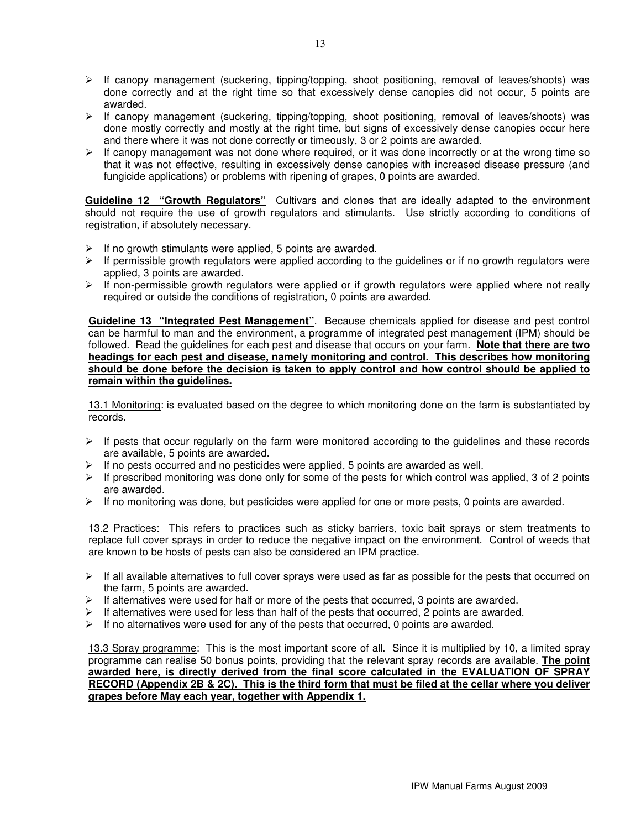- $\triangleright$  If canopy management (suckering, tipping/topping, shoot positioning, removal of leaves/shoots) was done correctly and at the right time so that excessively dense canopies did not occur, 5 points are awarded.
- $\triangleright$  If canopy management (suckering, tipping/topping, shoot positioning, removal of leaves/shoots) was done mostly correctly and mostly at the right time, but signs of excessively dense canopies occur here and there where it was not done correctly or timeously, 3 or 2 points are awarded.
- $\triangleright$  If canopy management was not done where required, or it was done incorrectly or at the wrong time so that it was not effective, resulting in excessively dense canopies with increased disease pressure (and fungicide applications) or problems with ripening of grapes, 0 points are awarded.

**Guideline 12 "Growth Regulators"** Cultivars and clones that are ideally adapted to the environment should not require the use of growth regulators and stimulants. Use strictly according to conditions of registration, if absolutely necessary.

- $\triangleright$  If no growth stimulants were applied, 5 points are awarded.
- $\triangleright$  If permissible growth regulators were applied according to the guidelines or if no growth regulators were applied, 3 points are awarded.
- $\triangleright$  If non-permissible growth regulators were applied or if growth regulators were applied where not really required or outside the conditions of registration, 0 points are awarded.

**Guideline 13 "Integrated Pest Management"**. Because chemicals applied for disease and pest control can be harmful to man and the environment, a programme of integrated pest management (IPM) should be followed. Read the guidelines for each pest and disease that occurs on your farm. **Note that there are two headings for each pest and disease, namely monitoring and control. This describes how monitoring should be done before the decision is taken to apply control and how control should be applied to remain within the guidelines.**

13.1 Monitoring: is evaluated based on the degree to which monitoring done on the farm is substantiated by records.

- $\triangleright$  If pests that occur regularly on the farm were monitored according to the guidelines and these records are available, 5 points are awarded.
- $\triangleright$  If no pests occurred and no pesticides were applied, 5 points are awarded as well.
- $\triangleright$  If prescribed monitoring was done only for some of the pests for which control was applied, 3 of 2 points are awarded.
- $\triangleright$  If no monitoring was done, but pesticides were applied for one or more pests, 0 points are awarded.

13.2 Practices: This refers to practices such as sticky barriers, toxic bait sprays or stem treatments to replace full cover sprays in order to reduce the negative impact on the environment. Control of weeds that are known to be hosts of pests can also be considered an IPM practice.

- $\triangleright$  If all available alternatives to full cover sprays were used as far as possible for the pests that occurred on the farm, 5 points are awarded.
- $\triangleright$  If alternatives were used for half or more of the pests that occurred, 3 points are awarded.
- $\triangleright$  If alternatives were used for less than half of the pests that occurred, 2 points are awarded.
- $\triangleright$  If no alternatives were used for any of the pests that occurred, 0 points are awarded.

13.3 Spray programme: This is the most important score of all. Since it is multiplied by 10, a limited spray programme can realise 50 bonus points, providing that the relevant spray records are available. **The point awarded here, is directly derived from the final score calculated in the EVALUATION OF SPRAY RECORD (Appendix 2B & 2C). This is the third form that must be filed at the cellar where you deliver grapes before May each year, together with Appendix 1.**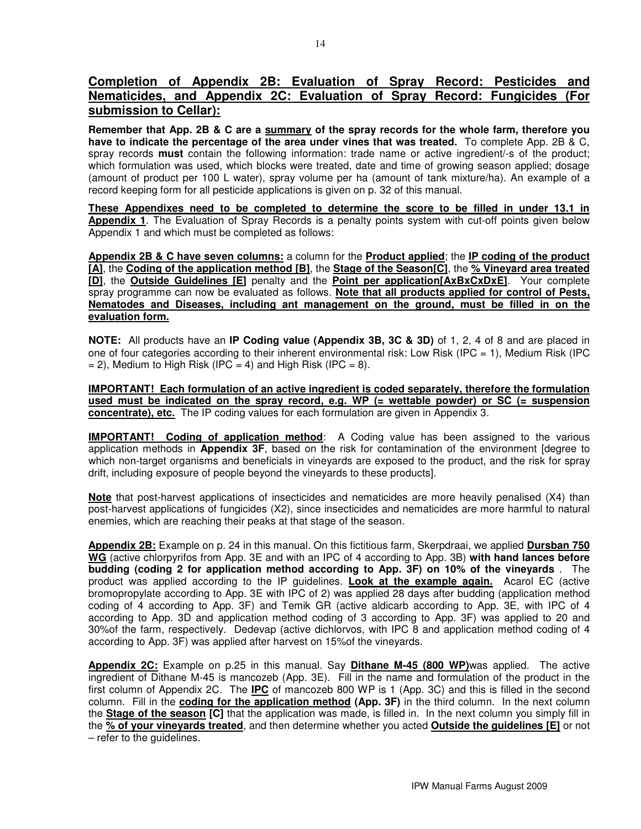## **Completion of Appendix 2B: Evaluation of Spray Record: Pesticides and Nematicides, and Appendix 2C: Evaluation of Spray Record: Fungicides (For submission to Cellar):**

**Remember that App. 2B & C are a summary of the spray records for the whole farm, therefore you have to indicate the percentage of the area under vines that was treated.** To complete App. 2B & C, spray records **must** contain the following information: trade name or active ingredient/-s of the product; which formulation was used, which blocks were treated, date and time of growing season applied; dosage (amount of product per 100 L water), spray volume per ha (amount of tank mixture/ha). An example of a record keeping form for all pesticide applications is given on p. 32 of this manual.

**These Appendixes need to be completed to determine the score to be filled in under 13.1 in Appendix 1**. The Evaluation of Spray Records is a penalty points system with cut-off points given below Appendix 1 and which must be completed as follows:

**Appendix 2B & C have seven columns:** a column for the **Product applied**; the **IP coding of the product [A]**, the **Coding of the application method [B]**, the **Stage of the Season[C]**, the **% Vineyard area treated [D]**, the **Outside Guidelines [E]** penalty and the **Point per application[AxBxCxDxE]**. Your complete spray programme can now be evaluated as follows. **Note that all products applied for control of Pests, Nematodes and Diseases, including ant management on the ground, must be filled in on the evaluation form.**

**NOTE:** All products have an **IP Coding value (Appendix 3B, 3C & 3D)** of 1, 2, 4 of 8 and are placed in one of four categories according to their inherent environmental risk: Low Risk (IPC = 1), Medium Risk (IPC  $= 2$ ), Medium to High Risk (IPC  $= 4$ ) and High Risk (IPC  $= 8$ ).

**IMPORTANT! Each formulation of an active ingredient is coded separately, therefore the formulation used must be indicated on the spray record, e.g. WP (= wettable powder) or SC (= suspension concentrate), etc.** The IP coding values for each formulation are given in Appendix 3.

**IMPORTANT!** Coding of application method: A Coding value has been assigned to the various application methods in **Appendix 3F**, based on the risk for contamination of the environment [degree to which non-target organisms and beneficials in vineyards are exposed to the product, and the risk for spray drift, including exposure of people beyond the vineyards to these products].

**Note** that post-harvest applications of insecticides and nematicides are more heavily penalised (X4) than post-harvest applications of fungicides (X2), since insecticides and nematicides are more harmful to natural enemies, which are reaching their peaks at that stage of the season.

**Appendix 2B:** Example on p. 24 in this manual. On this fictitious farm, Skerpdraai, we applied **Dursban 750 WG** (active chlorpyrifos from App. 3E and with an IPC of 4 according to App. 3B) **with hand lances before budding (coding 2 for application method according to App. 3F) on 10% of the vineyards** . The product was applied according to the IP guidelines. **Look at the example again.** Acarol EC (active bromopropylate according to App. 3E with IPC of 2) was applied 28 days after budding (application method coding of 4 according to App. 3F) and Temik GR (active aldicarb according to App. 3E, with IPC of 4 according to App. 3D and application method coding of 3 according to App. 3F) was applied to 20 and 30%of the farm, respectively. Dedevap (active dichlorvos, with IPC 8 and application method coding of 4 according to App. 3F) was applied after harvest on 15%of the vineyards.

**Appendix 2C:** Example on p.25 in this manual. Say **Dithane M-45 (800 WP)**was applied. The active ingredient of Dithane M-45 is mancozeb (App. 3E). Fill in the name and formulation of the product in the first column of Appendix 2C. The **IPC** of mancozeb 800 WP is 1 (App. 3C) and this is filled in the second column. Fill in the **coding for the application method (App. 3F)** in the third column. In the next column the **Stage of the season [C]** that the application was made, is filled in. In the next column you simply fill in the **% of your vineyards treated**, and then determine whether you acted **Outside the guidelines [E]** or not – refer to the guidelines.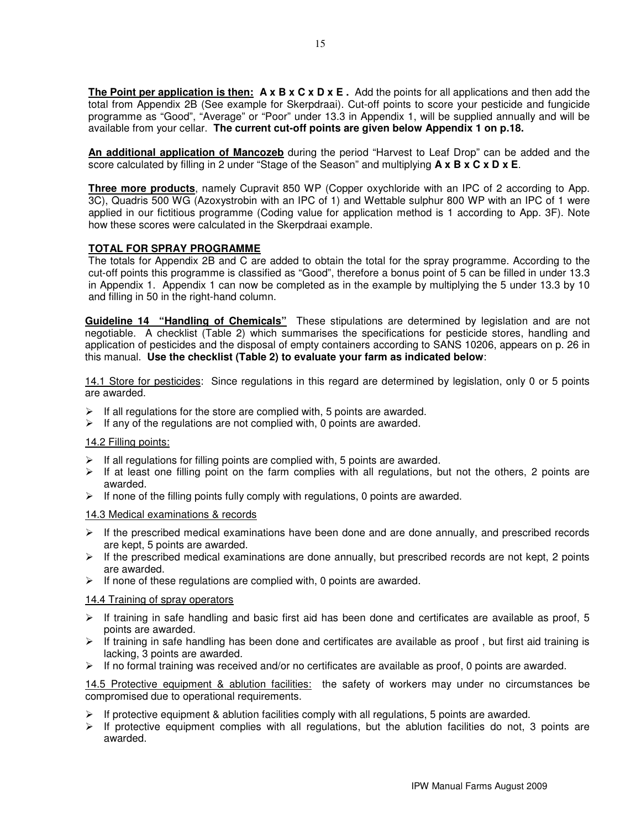**The Point per application is then:** A x B x C x D x E . Add the points for all applications and then add the total from Appendix 2B (See example for Skerpdraai). Cut-off points to score your pesticide and fungicide programme as "Good", "Average" or "Poor" under 13.3 in Appendix 1, will be supplied annually and will be available from your cellar. **The current cut-off points are given below Appendix 1 on p.18.** 

**An additional application of Mancozeb** during the period "Harvest to Leaf Drop" can be added and the score calculated by filling in 2 under "Stage of the Season" and multiplying **A x B x C x D x E**.

**Three more products**, namely Cupravit 850 WP (Copper oxychloride with an IPC of 2 according to App. 3C), Quadris 500 WG (Azoxystrobin with an IPC of 1) and Wettable sulphur 800 WP with an IPC of 1 were applied in our fictitious programme (Coding value for application method is 1 according to App. 3F). Note how these scores were calculated in the Skerpdraai example.

#### **TOTAL FOR SPRAY PROGRAMME**

The totals for Appendix 2B and C are added to obtain the total for the spray programme. According to the cut-off points this programme is classified as "Good", therefore a bonus point of 5 can be filled in under 13.3 in Appendix 1. Appendix 1 can now be completed as in the example by multiplying the 5 under 13.3 by 10 and filling in 50 in the right-hand column.

**Guideline 14 "Handling of Chemicals"** These stipulations are determined by legislation and are not negotiable. A checklist (Table 2) which summarises the specifications for pesticide stores, handling and application of pesticides and the disposal of empty containers according to SANS 10206, appears on p. 26 in this manual. **Use the checklist (Table 2) to evaluate your farm as indicated below**:

14.1 Store for pesticides: Since regulations in this regard are determined by legislation, only 0 or 5 points are awarded.

- $\triangleright$  If all regulations for the store are complied with, 5 points are awarded.
- $\triangleright$  If any of the regulations are not complied with, 0 points are awarded.

#### 14.2 Filling points:

- $\triangleright$  If all regulations for filling points are complied with, 5 points are awarded.
- $\triangleright$  If at least one filling point on the farm complies with all regulations, but not the others, 2 points are awarded.
- $\triangleright$  If none of the filling points fully comply with regulations, 0 points are awarded.

#### 14.3 Medical examinations & records

- $\triangleright$  If the prescribed medical examinations have been done and are done annually, and prescribed records are kept, 5 points are awarded.
- $\triangleright$  If the prescribed medical examinations are done annually, but prescribed records are not kept, 2 points are awarded.
- $\triangleright$  If none of these regulations are complied with, 0 points are awarded.

#### 14.4 Training of spray operators

- $\triangleright$  If training in safe handling and basic first aid has been done and certificates are available as proof, 5 points are awarded.
- $\triangleright$  If training in safe handling has been done and certificates are available as proof, but first aid training is lacking, 3 points are awarded.
- $\triangleright$  If no formal training was received and/or no certificates are available as proof, 0 points are awarded.

14.5 Protective equipment & ablution facilities: the safety of workers may under no circumstances be compromised due to operational requirements.

- $\triangleright$  If protective equipment & ablution facilities comply with all regulations, 5 points are awarded.
- $\triangleright$  If protective equipment complies with all regulations, but the ablution facilities do not, 3 points are awarded.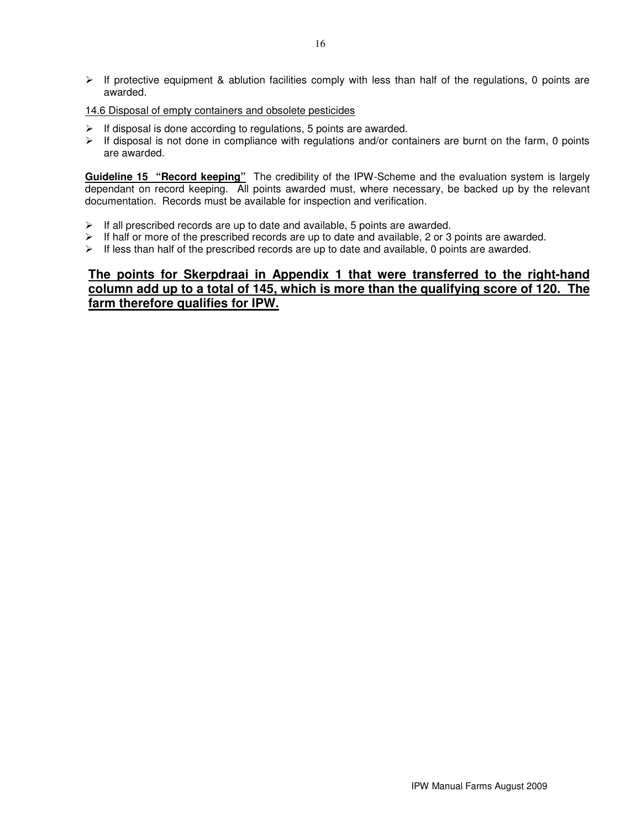$\triangleright$  If protective equipment & ablution facilities comply with less than half of the regulations, 0 points are awarded.

#### 14.6 Disposal of empty containers and obsolete pesticides

- $\triangleright$  If disposal is done according to regulations, 5 points are awarded.
- $\triangleright$  If disposal is not done in compliance with regulations and/or containers are burnt on the farm, 0 points are awarded.

**Guideline 15 "Record keeping"** The credibility of the IPW-Scheme and the evaluation system is largely dependant on record keeping. All points awarded must, where necessary, be backed up by the relevant documentation. Records must be available for inspection and verification.

- $\triangleright$  If all prescribed records are up to date and available, 5 points are awarded.
- $\triangleright$  If half or more of the prescribed records are up to date and available, 2 or 3 points are awarded.
- $\triangleright$  If less than half of the prescribed records are up to date and available, 0 points are awarded.

## **The points for Skerpdraai in Appendix 1 that were transferred to the right-hand column add up to a total of 145, which is more than the qualifying score of 120. The farm therefore qualifies for IPW.**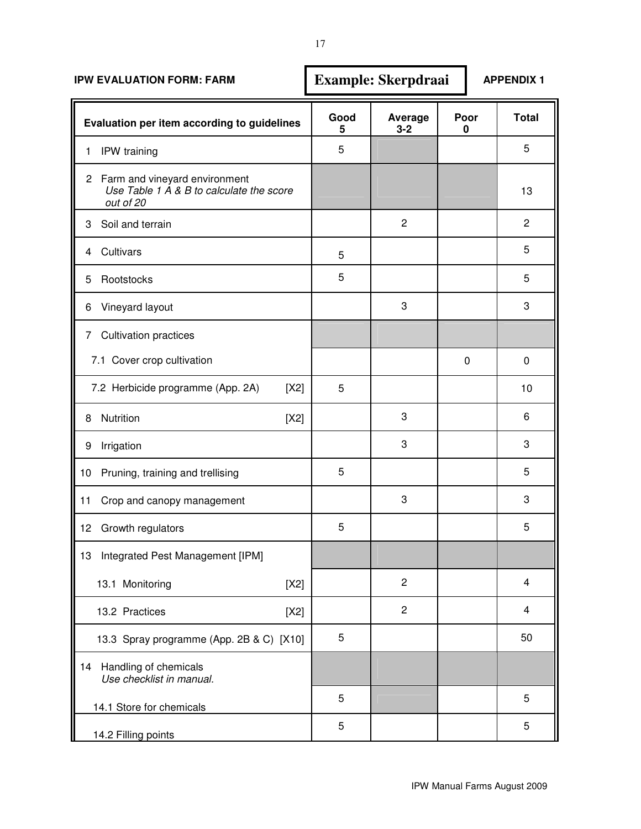| <b>IPW EVALUATION FORM: FARM</b>                                                         | <b>Example: Skerpdraai</b> |                    |           | <b>APPENDIX 1</b> |  |
|------------------------------------------------------------------------------------------|----------------------------|--------------------|-----------|-------------------|--|
| Evaluation per item according to guidelines                                              | Good<br>5                  | Average<br>$3 - 2$ | Poor<br>0 | <b>Total</b>      |  |
| IPW training<br>1                                                                        | 5                          |                    |           | 5                 |  |
| 2 Farm and vineyard environment<br>Use Table 1 A & B to calculate the score<br>out of 20 |                            |                    |           | 13                |  |
| Soil and terrain<br>3                                                                    |                            | $\overline{c}$     |           | 2                 |  |
| Cultivars<br>4                                                                           | 5                          |                    |           | 5                 |  |
| Rootstocks<br>5                                                                          | 5                          |                    |           | 5                 |  |
| Vineyard layout<br>6                                                                     |                            | 3                  |           | 3                 |  |
| <b>Cultivation practices</b><br>$\overline{7}$                                           |                            |                    |           |                   |  |
| 7.1 Cover crop cultivation                                                               |                            |                    | 0         | 0                 |  |
| [X2]<br>7.2 Herbicide programme (App. 2A)                                                | 5                          |                    |           | 10                |  |
| Nutrition<br>[X2]<br>8                                                                   |                            | 3                  |           | 6                 |  |
| Irrigation<br>9                                                                          |                            | 3                  |           | 3                 |  |
| Pruning, training and trellising<br>10 <sub>1</sub>                                      | 5                          |                    |           | 5                 |  |
| Crop and canopy management<br>11                                                         |                            | 3                  |           | 3                 |  |
| 12 Growth regulators                                                                     | 5                          |                    |           | 5                 |  |
| Integrated Pest Management [IPM]<br>13                                                   |                            |                    |           |                   |  |
| 13.1 Monitoring<br>[X2]                                                                  |                            | $\overline{c}$     |           | 4                 |  |
| 13.2 Practices<br>[X2]                                                                   |                            | $\overline{c}$     |           | 4                 |  |
| 13.3 Spray programme (App. 2B & C) [X10]                                                 | 5                          |                    |           | 50                |  |
| Handling of chemicals<br>14<br>Use checklist in manual.                                  |                            |                    |           |                   |  |
| 14.1 Store for chemicals                                                                 | 5                          |                    |           | 5                 |  |
| 14.2 Filling points                                                                      | 5                          |                    |           | 5                 |  |

Г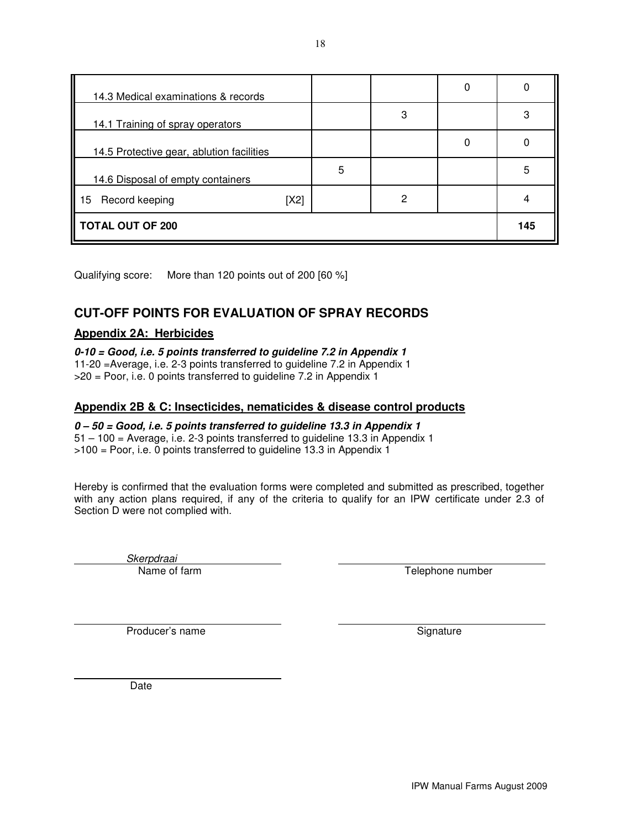| 14.3 Medical examinations & records       |   |   | 0 |     |
|-------------------------------------------|---|---|---|-----|
| 14.1 Training of spray operators          |   | 3 |   | 3   |
| 14.5 Protective gear, ablution facilities |   |   | C | 0   |
| 14.6 Disposal of empty containers         | 5 |   |   | 5   |
| Record keeping<br>[X2]<br>15              |   | 2 |   |     |
| <b>TOTAL OUT OF 200</b>                   |   |   |   | 145 |

Qualifying score: More than 120 points out of 200 [60 %]

## **CUT-OFF POINTS FOR EVALUATION OF SPRAY RECORDS**

### **Appendix 2A: Herbicides**

**0-10 = Good, i.e. 5 points transferred to guideline 7.2 in Appendix 1**  11-20 =Average, i.e. 2-3 points transferred to guideline 7.2 in Appendix 1 >20 = Poor, i.e. 0 points transferred to guideline 7.2 in Appendix 1

#### **Appendix 2B & C: Insecticides, nematicides & disease control products**

**0 – 50 = Good, i.e. 5 points transferred to guideline 13.3 in Appendix 1**  51 – 100 = Average, i.e. 2-3 points transferred to guideline 13.3 in Appendix 1 >100 = Poor, i.e. 0 points transferred to guideline 13.3 in Appendix 1

Hereby is confirmed that the evaluation forms were completed and submitted as prescribed, together with any action plans required, if any of the criteria to qualify for an IPW certificate under 2.3 of Section D were not complied with.

Skerpdraai<br>Name of farm

Telephone number

Producer's name Signature Signature

Date

l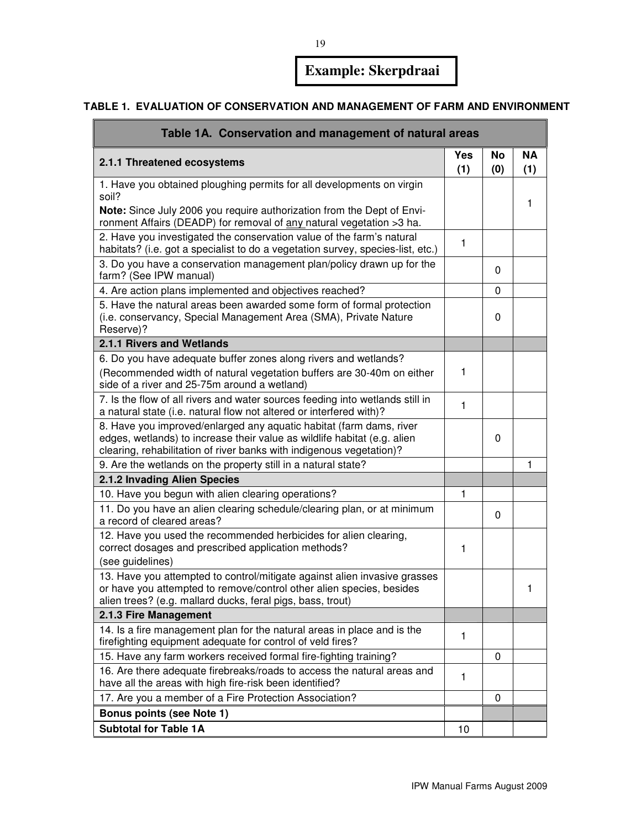# **Example: Skerpdraai**

## **TABLE 1. EVALUATION OF CONSERVATION AND MANAGEMENT OF FARM AND ENVIRONMENT**

| Table 1A. Conservation and management of natural areas                                                                                                                                                                  |            |             |                  |  |
|-------------------------------------------------------------------------------------------------------------------------------------------------------------------------------------------------------------------------|------------|-------------|------------------|--|
| 2.1.1 Threatened ecosystems                                                                                                                                                                                             | Yes<br>(1) | No<br>(0)   | <b>NA</b><br>(1) |  |
| 1. Have you obtained ploughing permits for all developments on virgin                                                                                                                                                   |            |             |                  |  |
| soil?<br>Note: Since July 2006 you require authorization from the Dept of Envi-<br>ronment Affairs (DEADP) for removal of any natural vegetation >3 ha.                                                                 |            |             | 1                |  |
| 2. Have you investigated the conservation value of the farm's natural<br>habitats? (i.e. got a specialist to do a vegetation survey, species-list, etc.)                                                                | 1          |             |                  |  |
| 3. Do you have a conservation management plan/policy drawn up for the<br>farm? (See IPW manual)                                                                                                                         |            | 0           |                  |  |
| 4. Are action plans implemented and objectives reached?                                                                                                                                                                 |            | 0           |                  |  |
| 5. Have the natural areas been awarded some form of formal protection<br>(i.e. conservancy, Special Management Area (SMA), Private Nature<br>Reserve)?                                                                  |            | 0           |                  |  |
| 2.1.1 Rivers and Wetlands                                                                                                                                                                                               |            |             |                  |  |
| 6. Do you have adequate buffer zones along rivers and wetlands?<br>(Recommended width of natural vegetation buffers are 30-40m on either<br>side of a river and 25-75m around a wetland)                                | 1          |             |                  |  |
| 7. Is the flow of all rivers and water sources feeding into wetlands still in<br>a natural state (i.e. natural flow not altered or interfered with)?                                                                    | 1          |             |                  |  |
| 8. Have you improved/enlarged any aquatic habitat (farm dams, river<br>edges, wetlands) to increase their value as wildlife habitat (e.g. alien<br>clearing, rehabilitation of river banks with indigenous vegetation)? |            | 0           |                  |  |
| 9. Are the wetlands on the property still in a natural state?                                                                                                                                                           |            |             | 1                |  |
| 2.1.2 Invading Alien Species                                                                                                                                                                                            |            |             |                  |  |
| 10. Have you begun with alien clearing operations?                                                                                                                                                                      | 1          |             |                  |  |
| 11. Do you have an alien clearing schedule/clearing plan, or at minimum<br>a record of cleared areas?                                                                                                                   |            | 0           |                  |  |
| 12. Have you used the recommended herbicides for alien clearing,<br>correct dosages and prescribed application methods?<br>(see guidelines)                                                                             | 1          |             |                  |  |
| 13. Have you attempted to control/mitigate against alien invasive grasses<br>or have you attempted to remove/control other alien species, besides<br>alien trees? (e.g. mallard ducks, feral pigs, bass, trout)         |            |             | 1                |  |
| 2.1.3 Fire Management                                                                                                                                                                                                   |            |             |                  |  |
| 14. Is a fire management plan for the natural areas in place and is the<br>firefighting equipment adequate for control of veld fires?                                                                                   | 1          |             |                  |  |
| 15. Have any farm workers received formal fire-fighting training?                                                                                                                                                       |            | 0           |                  |  |
| 16. Are there adequate firebreaks/roads to access the natural areas and<br>have all the areas with high fire-risk been identified?                                                                                      | 1          |             |                  |  |
| 17. Are you a member of a Fire Protection Association?                                                                                                                                                                  |            | $\mathbf 0$ |                  |  |
| <b>Bonus points (see Note 1)</b>                                                                                                                                                                                        |            |             |                  |  |
| <b>Subtotal for Table 1A</b>                                                                                                                                                                                            | 10         |             |                  |  |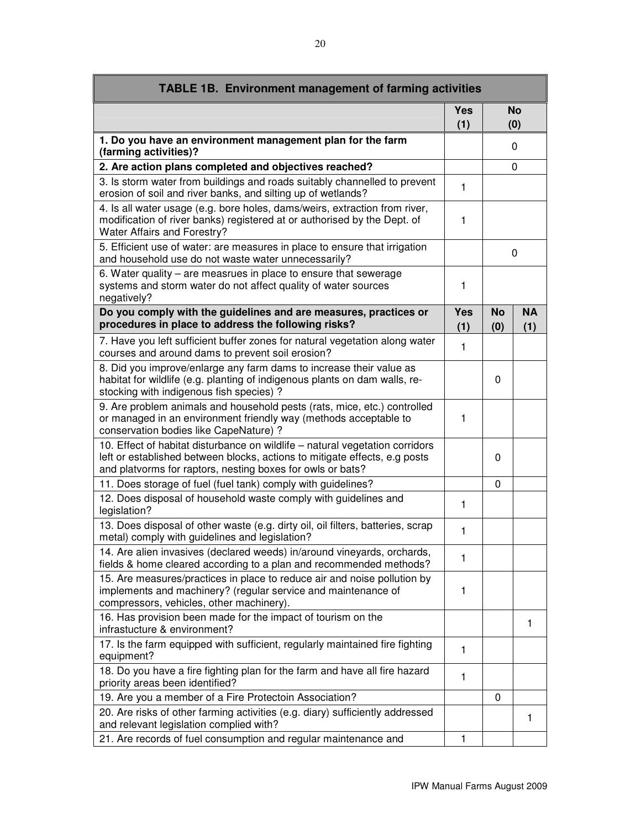| <b>TABLE 1B. Environment management of farming activities</b>                                                                                                                                                            |                   |                  |                  |  |  |  |  |
|--------------------------------------------------------------------------------------------------------------------------------------------------------------------------------------------------------------------------|-------------------|------------------|------------------|--|--|--|--|
|                                                                                                                                                                                                                          | <b>Yes</b><br>(1) |                  | <b>No</b><br>(0) |  |  |  |  |
| 1. Do you have an environment management plan for the farm<br>(farming activities)?                                                                                                                                      |                   |                  | 0                |  |  |  |  |
| 2. Are action plans completed and objectives reached?                                                                                                                                                                    |                   |                  | 0                |  |  |  |  |
| 3. Is storm water from buildings and roads suitably channelled to prevent<br>erosion of soil and river banks, and silting up of wetlands?                                                                                | $\mathbf{1}$      |                  |                  |  |  |  |  |
| 4. Is all water usage (e.g. bore holes, dams/weirs, extraction from river,<br>modification of river banks) registered at or authorised by the Dept. of<br>Water Affairs and Forestry?                                    | 1                 |                  |                  |  |  |  |  |
| 5. Efficient use of water: are measures in place to ensure that irrigation<br>and household use do not waste water unnecessarily?                                                                                        |                   |                  | 0                |  |  |  |  |
| 6. Water quality – are measrues in place to ensure that sewerage<br>systems and storm water do not affect quality of water sources<br>negatively?                                                                        | 1                 |                  |                  |  |  |  |  |
| Do you comply with the guidelines and are measures, practices or<br>procedures in place to address the following risks?                                                                                                  | <b>Yes</b><br>(1) | <b>No</b><br>(0) | <b>NA</b><br>(1) |  |  |  |  |
| 7. Have you left sufficient buffer zones for natural vegetation along water<br>courses and around dams to prevent soil erosion?                                                                                          | $\mathbf{1}$      |                  |                  |  |  |  |  |
| 8. Did you improve/enlarge any farm dams to increase their value as<br>habitat for wildlife (e.g. planting of indigenous plants on dam walls, re-<br>stocking with indigenous fish species) ?                            |                   | $\Omega$         |                  |  |  |  |  |
| 9. Are problem animals and household pests (rats, mice, etc.) controlled<br>or managed in an environment friendly way (methods acceptable to<br>conservation bodies like CapeNature) ?                                   | 1                 |                  |                  |  |  |  |  |
| 10. Effect of habitat disturbance on wildlife - natural vegetation corridors<br>left or established between blocks, actions to mitigate effects, e.g posts<br>and platvorms for raptors, nesting boxes for owls or bats? |                   | $\Omega$         |                  |  |  |  |  |
| 11. Does storage of fuel (fuel tank) comply with guidelines?                                                                                                                                                             |                   | $\mathbf{0}$     |                  |  |  |  |  |
| 12. Does disposal of household waste comply with guidelines and<br>legislation?                                                                                                                                          | 1                 |                  |                  |  |  |  |  |
| 13. Does disposal of other waste (e.g. dirty oil, oil filters, batteries, scrap<br>metal) comply with guidelines and legislation?                                                                                        | 1                 |                  |                  |  |  |  |  |
| 14. Are alien invasives (declared weeds) in/around vineyards, orchards,<br>fields & home cleared according to a plan and recommended methods?                                                                            | 1                 |                  |                  |  |  |  |  |
| 15. Are measures/practices in place to reduce air and noise pollution by<br>implements and machinery? (regular service and maintenance of<br>compressors, vehicles, other machinery).                                    | 1                 |                  |                  |  |  |  |  |
| 16. Has provision been made for the impact of tourism on the<br>infrastucture & environment?                                                                                                                             |                   |                  | 1                |  |  |  |  |
| 17. Is the farm equipped with sufficient, regularly maintained fire fighting<br>equipment?                                                                                                                               | 1                 |                  |                  |  |  |  |  |
| 18. Do you have a fire fighting plan for the farm and have all fire hazard<br>priority areas been identified?                                                                                                            | 1                 |                  |                  |  |  |  |  |
| 19. Are you a member of a Fire Protectoin Association?                                                                                                                                                                   |                   | 0                |                  |  |  |  |  |
| 20. Are risks of other farming activities (e.g. diary) sufficiently addressed<br>and relevant legislation complied with?                                                                                                 |                   |                  | 1                |  |  |  |  |
| 21. Are records of fuel consumption and regular maintenance and                                                                                                                                                          | 1                 |                  |                  |  |  |  |  |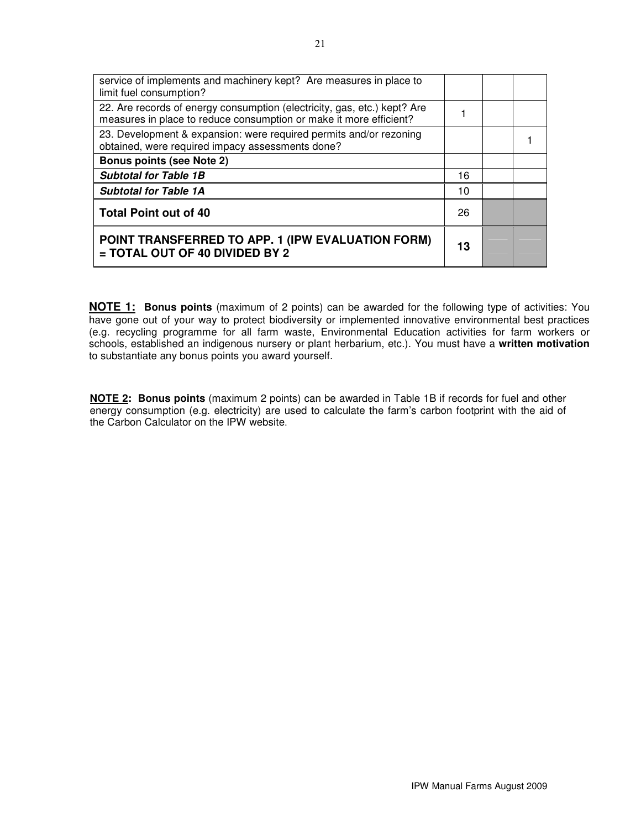| service of implements and machinery kept? Are measures in place to<br>limit fuel consumption?                                                  |    |  |
|------------------------------------------------------------------------------------------------------------------------------------------------|----|--|
| 22. Are records of energy consumption (electricity, gas, etc.) kept? Are<br>measures in place to reduce consumption or make it more efficient? |    |  |
| 23. Development & expansion: were required permits and/or rezoning<br>obtained, were required impacy assessments done?                         |    |  |
| <b>Bonus points (see Note 2)</b>                                                                                                               |    |  |
| <b>Subtotal for Table 1B</b>                                                                                                                   | 16 |  |
| <b>Subtotal for Table 1A</b>                                                                                                                   | 10 |  |
| <b>Total Point out of 40</b>                                                                                                                   | 26 |  |
| POINT TRANSFERRED TO APP. 1 (IPW EVALUATION FORM)<br>= TOTAL OUT OF 40 DIVIDED BY 2                                                            | 13 |  |

**NOTE 1: Bonus points** (maximum of 2 points) can be awarded for the following type of activities: You have gone out of your way to protect biodiversity or implemented innovative environmental best practices (e.g. recycling programme for all farm waste, Environmental Education activities for farm workers or schools, established an indigenous nursery or plant herbarium, etc.). You must have a **written motivation** to substantiate any bonus points you award yourself.

**NOTE 2: Bonus points** (maximum 2 points) can be awarded in Table 1B if records for fuel and other energy consumption (e.g. electricity) are used to calculate the farm's carbon footprint with the aid of the Carbon Calculator on the IPW website.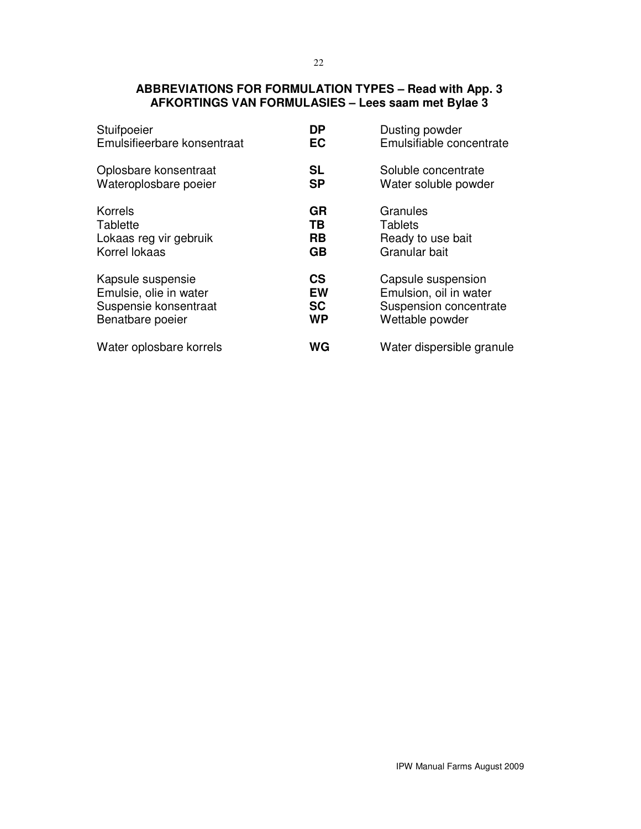### **ABBREVIATIONS FOR FORMULATION TYPES – Read with App. 3 AFKORTINGS VAN FORMULASIES – Lees saam met Bylae 3**

| Stuifpoeier                 | DP        | Dusting powder            |
|-----------------------------|-----------|---------------------------|
| Emulsifieerbare konsentraat | <b>EC</b> | Emulsifiable concentrate  |
| Oplosbare konsentraat       | <b>SL</b> | Soluble concentrate       |
| Wateroplosbare poeier       | <b>SP</b> | Water soluble powder      |
| Korrels                     | <b>GR</b> | Granules                  |
| Tablette                    | TB.       | <b>Tablets</b>            |
| Lokaas reg vir gebruik      | <b>RB</b> | Ready to use bait         |
| Korrel lokaas               | <b>GB</b> | Granular bait             |
| Kapsule suspensie           | <b>CS</b> | Capsule suspension        |
| Emulsie, olie in water      | EW        | Emulsion, oil in water    |
| Suspensie konsentraat       | <b>SC</b> | Suspension concentrate    |
| Benatbare poeier            | <b>WP</b> | Wettable powder           |
| Water oplosbare korrels     | <b>WG</b> | Water dispersible granule |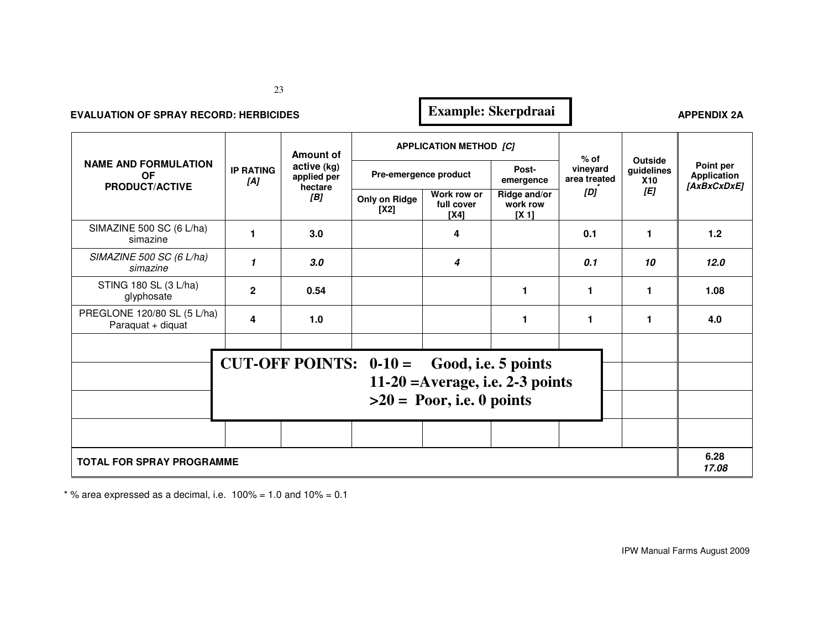# **EVALUATION OF SPRAY RECORD: HERBICIDES APPENDIX 2A APPENDIX 2A**

## **Example: Skerpdraai**

|                                                                   |                                                                                                                   | Amount of |                       | <b>APPLICATION METHOD [C]</b>         |                                              | $%$ of | Outside            |                          |                          |                                         |
|-------------------------------------------------------------------|-------------------------------------------------------------------------------------------------------------------|-----------|-----------------------|---------------------------------------|----------------------------------------------|--------|--------------------|--------------------------|--------------------------|-----------------------------------------|
| <b>NAME AND FORMULATION</b><br><b>OF</b><br><b>PRODUCT/ACTIVE</b> | <b>IP RATING</b><br>[A]                                                                                           |           |                       | active (kg)<br>applied per<br>hectare | Pre-emergence product                        |        | Post-<br>emergence | vineyard<br>area treated | quidelines<br><b>X10</b> | Point per<br>Application<br>[AxBxCxDxE] |
|                                                                   |                                                                                                                   | [B]       | Only on Ridge<br>[X2] | Work row or<br>full cover<br>[X4]     | Ridge and/or<br>work row<br>IX <sub>11</sub> | [D]    | [E]                |                          |                          |                                         |
| SIMAZINE 500 SC (6 L/ha)<br>simazine                              |                                                                                                                   | 3.0       |                       | 4                                     |                                              | 0.1    | 1                  | 1.2                      |                          |                                         |
| SIMAZINE 500 SC $(6 L/ha)$<br>simazine                            | 1                                                                                                                 | 3.0       |                       | 4                                     |                                              | 0.1    | 10                 | 12.0                     |                          |                                         |
| STING 180 SL (3 L/ha)<br>glyphosate                               | $\mathbf{2}$                                                                                                      | 0.54      |                       |                                       | 1                                            | 1      | 1                  | 1.08                     |                          |                                         |
| PREGLONE 120/80 SL (5 L/ha)<br>Paraquat + diquat                  | 4                                                                                                                 | 1.0       |                       |                                       | 1                                            | 1      | 1                  | 4.0                      |                          |                                         |
|                                                                   | CUT-OFF POINTS: $0-10 =$ Good, i.e. 5 points<br>$11-20$ = Average, i.e. 2-3 points<br>$>20 =$ Poor, i.e. 0 points |           |                       |                                       |                                              |        |                    |                          |                          |                                         |
|                                                                   |                                                                                                                   |           |                       |                                       |                                              |        |                    |                          |                          |                                         |
| <b>TOTAL FOR SPRAY PROGRAMME</b>                                  |                                                                                                                   |           |                       |                                       |                                              |        |                    | 6.28<br>17.08            |                          |                                         |

 $*$  % area expressed as a decimal, i.e. 100% = 1.0 and 10% = 0.1

IPW Manual Farms August 2009

23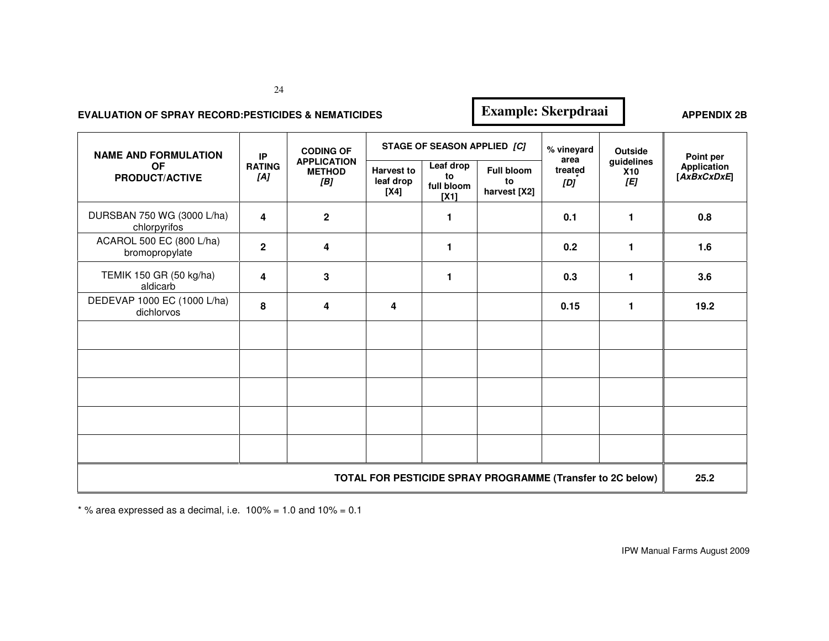24

#### **EVALUATION OF SPRAY RECORD:PESTICIDES & NEMATICIDES**

# **APPENDIX 2B Example: Skerpdraai**

| <b>NAME AND FORMULATION</b><br><b>OF</b><br><b>PRODUCT/ACTIVE</b> | IP<br><b>RATING</b><br>[A] | <b>CODING OF</b><br><b>APPLICATION</b><br><b>METHOD</b><br>[B] | <b>Harvest to</b><br>leaf drop<br>[X4] | STAGE OF SEASON APPLIED [C]<br>Leaf drop<br>to<br>full bloom | <b>Full bloom</b><br>to<br>harvest [X2] | % vineyard<br>area<br>treated<br>[D] | <b>Outside</b><br>guidelines<br><b>X10</b><br>[E] | Point per<br>Application<br>[AxBxCxDxE] |
|-------------------------------------------------------------------|----------------------------|----------------------------------------------------------------|----------------------------------------|--------------------------------------------------------------|-----------------------------------------|--------------------------------------|---------------------------------------------------|-----------------------------------------|
| DURSBAN 750 WG (3000 L/ha)<br>chlorpyrifos                        | 4                          | $\overline{2}$                                                 |                                        | [X1]<br>1                                                    |                                         | 0.1                                  | 1                                                 | 0.8                                     |
| ACAROL 500 EC (800 L/ha)<br>bromopropylate                        | $\overline{2}$             | 4                                                              |                                        | 1                                                            |                                         | 0.2                                  | 1                                                 | 1.6                                     |
| TEMIK 150 GR (50 kg/ha)<br>aldicarb                               | 4                          | 3                                                              |                                        | 1                                                            |                                         | 0.3                                  | 1                                                 | 3.6                                     |
| DEDEVAP 1000 EC (1000 L/ha)<br>dichlorvos                         | 8                          | 4                                                              | 4                                      |                                                              |                                         | 0.15                                 | 1                                                 | 19.2                                    |
|                                                                   |                            |                                                                |                                        |                                                              |                                         |                                      |                                                   |                                         |
|                                                                   |                            |                                                                |                                        |                                                              |                                         |                                      |                                                   |                                         |
|                                                                   |                            |                                                                |                                        |                                                              |                                         |                                      |                                                   |                                         |
|                                                                   |                            |                                                                |                                        |                                                              |                                         |                                      |                                                   |                                         |
|                                                                   |                            |                                                                |                                        |                                                              |                                         |                                      |                                                   |                                         |
| TOTAL FOR PESTICIDE SPRAY PROGRAMME (Transfer to 2C below)        |                            |                                                                |                                        |                                                              |                                         |                                      | 25.2                                              |                                         |

 $*$  % area expressed as a decimal, i.e.  $100\% = 1.0$  and  $10\% = 0.1$ 

IPW Manual Farms August 2009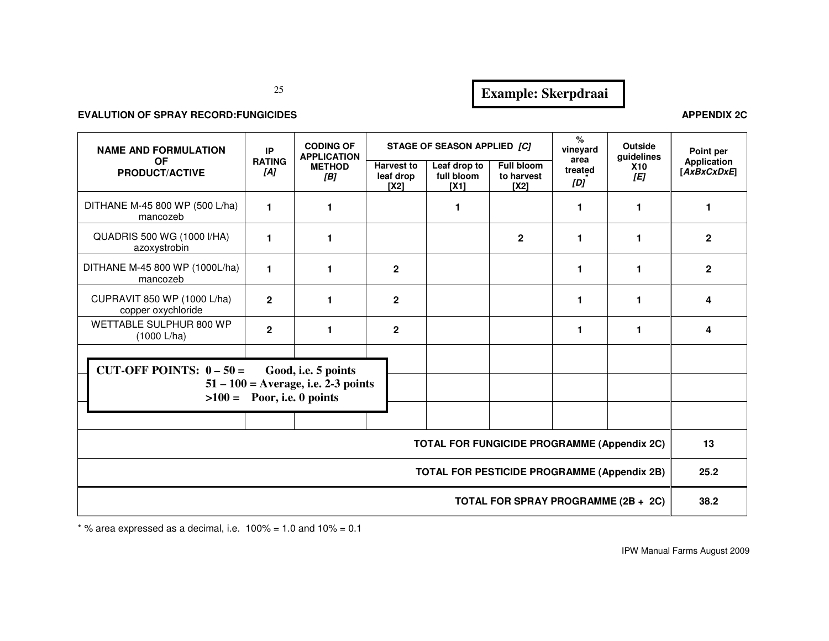25

## **Example: Skerpdraai**

| <b>NAME AND FORMULATION</b>                        | IP                   | <b>CODING OF</b><br><b>APPLICATION</b>                                | STAGE OF SEASON APPLIED [C]            |                                           | $\%$<br>vineyard                        | <b>Outside</b><br>guidelines | Point per         |                                   |
|----------------------------------------------------|----------------------|-----------------------------------------------------------------------|----------------------------------------|-------------------------------------------|-----------------------------------------|------------------------------|-------------------|-----------------------------------|
| <b>OF</b><br><b>PRODUCT/ACTIVE</b>                 | <b>RATING</b><br>[A] | <b>METHOD</b><br>[B]                                                  | <b>Harvest to</b><br>leaf drop<br>[X2] | Leaf drop to<br>full bloom<br><b>IX11</b> | <b>Full bloom</b><br>to harvest<br>[X2] | area<br>treated<br>[D]       | <b>X10</b><br>[E] | <b>Application</b><br>[AxBxCxDxE] |
| DITHANE M-45 800 WP (500 L/ha)<br>mancozeb         | 1.                   | 1                                                                     |                                        | 1                                         |                                         | 1                            | 1                 | 1                                 |
| QUADRIS 500 WG (1000 I/HA)<br>azoxystrobin         | 1.                   | 1                                                                     |                                        |                                           | $\mathbf{2}$                            | 1                            | $\mathbf{1}$      | $\overline{2}$                    |
| DITHANE M-45 800 WP (1000L/ha)<br>mancozeb         | 1.                   | 1                                                                     | $\mathbf{2}$                           |                                           |                                         | 1                            | 1                 | $\mathbf{2}$                      |
| CUPRAVIT 850 WP (1000 L/ha)<br>copper oxychloride  | $\overline{2}$       | 1                                                                     | $\mathbf{2}$                           |                                           |                                         | 1                            | 1                 | 4                                 |
| WETTABLE SULPHUR 800 WP<br>(1000 L/ha)             | $\overline{2}$       | 1                                                                     | $\overline{2}$                         |                                           |                                         | 1                            | 1                 | 4                                 |
| CUT-OFF POINTS: $0 - 50 =$                         |                      | Good, i.e. 5 points                                                   |                                        |                                           |                                         |                              |                   |                                   |
|                                                    |                      | $51 - 100$ = Average, i.e. 2-3 points<br>$>100 =$ Poor, i.e. 0 points |                                        |                                           |                                         |                              |                   |                                   |
|                                                    |                      |                                                                       |                                        |                                           |                                         |                              |                   |                                   |
| <b>TOTAL FOR FUNGICIDE PROGRAMME (Appendix 2C)</b> |                      |                                                                       |                                        |                                           |                                         |                              |                   | 13                                |
| <b>TOTAL FOR PESTICIDE PROGRAMME (Appendix 2B)</b> |                      |                                                                       |                                        |                                           |                                         |                              |                   | 25.2                              |
| TOTAL FOR SPRAY PROGRAMME (2B + 2C)                |                      |                                                                       |                                        |                                           |                                         |                              |                   | 38.2                              |

 $*$  % area expressed as a decimal, i.e.  $100\% = 1.0$  and  $10\% = 0.1$ 

IPW Manual Farms August 2009

**EVALUATE S** APPENDIX 2C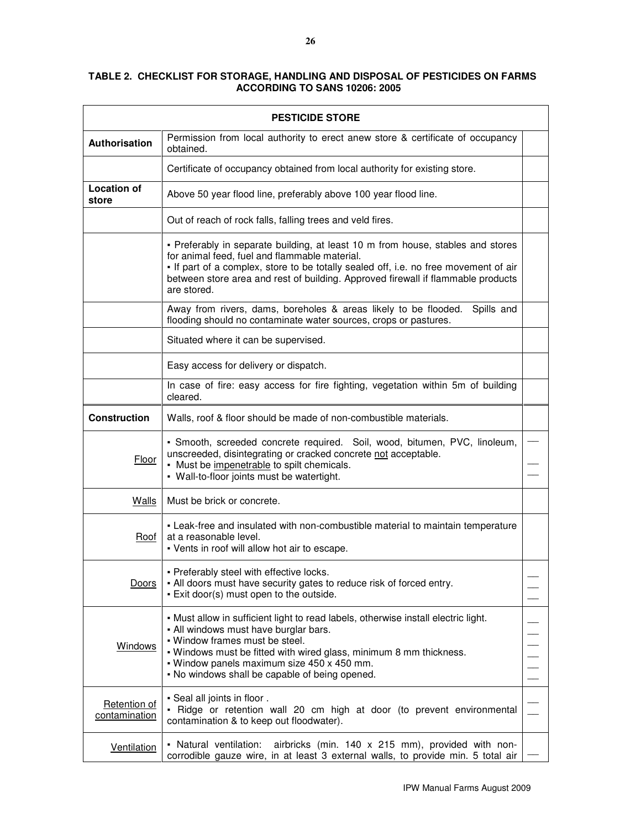#### **TABLE 2. CHECKLIST FOR STORAGE, HANDLING AND DISPOSAL OF PESTICIDES ON FARMS ACCORDING TO SANS 10206: 2005**

|                               | <b>PESTICIDE STORE</b>                                                                                                                                                                                                                                                                                                              |  |
|-------------------------------|-------------------------------------------------------------------------------------------------------------------------------------------------------------------------------------------------------------------------------------------------------------------------------------------------------------------------------------|--|
| Authorisation                 | Permission from local authority to erect anew store & certificate of occupancy<br>obtained.                                                                                                                                                                                                                                         |  |
|                               | Certificate of occupancy obtained from local authority for existing store.                                                                                                                                                                                                                                                          |  |
| <b>Location of</b><br>store   | Above 50 year flood line, preferably above 100 year flood line.                                                                                                                                                                                                                                                                     |  |
|                               | Out of reach of rock falls, falling trees and veld fires.                                                                                                                                                                                                                                                                           |  |
|                               | - Preferably in separate building, at least 10 m from house, stables and stores<br>for animal feed, fuel and flammable material.<br>- If part of a complex, store to be totally sealed off, i.e. no free movement of air<br>between store area and rest of building. Approved firewall if flammable products<br>are stored.         |  |
|                               | Away from rivers, dams, boreholes & areas likely to be flooded.<br>Spills and<br>flooding should no contaminate water sources, crops or pastures.                                                                                                                                                                                   |  |
|                               | Situated where it can be supervised.                                                                                                                                                                                                                                                                                                |  |
|                               | Easy access for delivery or dispatch.                                                                                                                                                                                                                                                                                               |  |
|                               | In case of fire: easy access for fire fighting, vegetation within 5m of building<br>cleared.                                                                                                                                                                                                                                        |  |
| <b>Construction</b>           | Walls, roof & floor should be made of non-combustible materials.                                                                                                                                                                                                                                                                    |  |
| Floor                         | · Smooth, screeded concrete required. Soil, wood, bitumen, PVC, linoleum,<br>unscreeded, disintegrating or cracked concrete not acceptable.<br>• Must be impenetrable to spilt chemicals.<br>• Wall-to-floor joints must be watertight.                                                                                             |  |
| Walls                         | Must be brick or concrete.                                                                                                                                                                                                                                                                                                          |  |
| Roof                          | - Leak-free and insulated with non-combustible material to maintain temperature<br>at a reasonable level.<br>- Vents in roof will allow hot air to escape.                                                                                                                                                                          |  |
| <u>Doors</u>                  | - Preferably steel with effective locks.<br>- All doors must have security gates to reduce risk of forced entry.<br>. Exit door(s) must open to the outside.                                                                                                                                                                        |  |
| <b>Windows</b>                | - Must allow in sufficient light to read labels, otherwise install electric light.<br>• All windows must have burglar bars.<br>- Window frames must be steel.<br>. Windows must be fitted with wired glass, minimum 8 mm thickness.<br>. Window panels maximum size 450 x 450 mm.<br>. No windows shall be capable of being opened. |  |
| Retention of<br>contamination | - Seal all joints in floor.<br>- Ridge or retention wall 20 cm high at door (to prevent environmental<br>contamination & to keep out floodwater).                                                                                                                                                                                   |  |
| Ventilation                   | • Natural ventilation:<br>airbricks (min. 140 x 215 mm), provided with non-<br>corrodible gauze wire, in at least 3 external walls, to provide min. 5 total air                                                                                                                                                                     |  |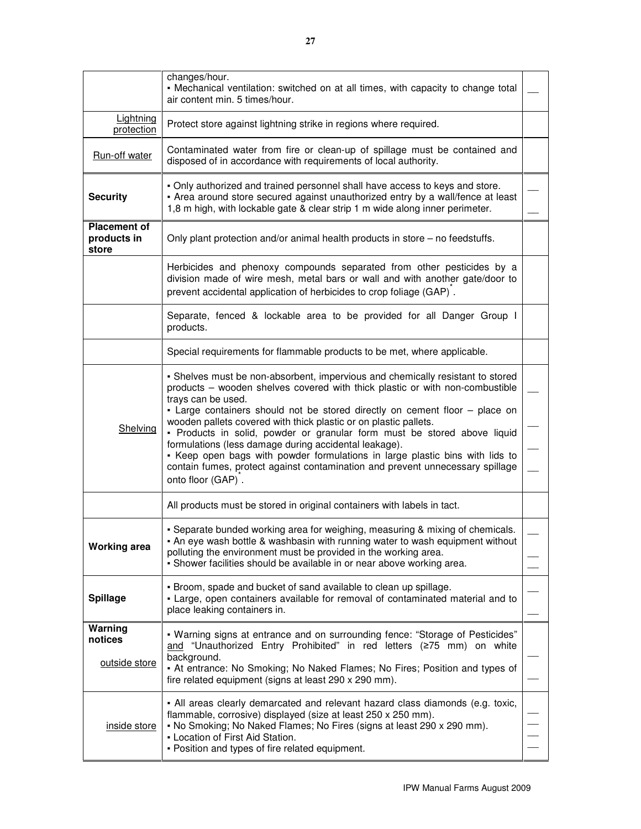|                                             | changes/hour.<br>- Mechanical ventilation: switched on at all times, with capacity to change total<br>air content min. 5 times/hour.                                                                                                                                                                                                                                                                                                                                                                                                                                                                                                                               |  |
|---------------------------------------------|--------------------------------------------------------------------------------------------------------------------------------------------------------------------------------------------------------------------------------------------------------------------------------------------------------------------------------------------------------------------------------------------------------------------------------------------------------------------------------------------------------------------------------------------------------------------------------------------------------------------------------------------------------------------|--|
| Lightning<br>protection                     | Protect store against lightning strike in regions where required.                                                                                                                                                                                                                                                                                                                                                                                                                                                                                                                                                                                                  |  |
| Run-off water                               | Contaminated water from fire or clean-up of spillage must be contained and<br>disposed of in accordance with requirements of local authority.                                                                                                                                                                                                                                                                                                                                                                                                                                                                                                                      |  |
| <b>Security</b>                             | . Only authorized and trained personnel shall have access to keys and store.<br>- Area around store secured against unauthorized entry by a wall/fence at least<br>1,8 m high, with lockable gate & clear strip 1 m wide along inner perimeter.                                                                                                                                                                                                                                                                                                                                                                                                                    |  |
| <b>Placement of</b><br>products in<br>store | Only plant protection and/or animal health products in store – no feedstuffs.                                                                                                                                                                                                                                                                                                                                                                                                                                                                                                                                                                                      |  |
|                                             | Herbicides and phenoxy compounds separated from other pesticides by a<br>division made of wire mesh, metal bars or wall and with another gate/door to<br>prevent accidental application of herbicides to crop foliage (GAP).                                                                                                                                                                                                                                                                                                                                                                                                                                       |  |
|                                             | Separate, fenced & lockable area to be provided for all Danger Group I<br>products.                                                                                                                                                                                                                                                                                                                                                                                                                                                                                                                                                                                |  |
|                                             | Special requirements for flammable products to be met, where applicable.                                                                                                                                                                                                                                                                                                                                                                                                                                                                                                                                                                                           |  |
| Shelving                                    | - Shelves must be non-absorbent, impervious and chemically resistant to stored<br>products - wooden shelves covered with thick plastic or with non-combustible<br>trays can be used.<br>- Large containers should not be stored directly on cement floor - place on<br>wooden pallets covered with thick plastic or on plastic pallets.<br>- Products in solid, powder or granular form must be stored above liquid<br>formulations (less damage during accidental leakage).<br>- Keep open bags with powder formulations in large plastic bins with lids to<br>contain fumes, protect against contamination and prevent unnecessary spillage<br>onto floor (GAP). |  |
|                                             | All products must be stored in original containers with labels in tact.                                                                                                                                                                                                                                                                                                                                                                                                                                                                                                                                                                                            |  |
| <b>Working area</b>                         | - Separate bunded working area for weighing, measuring & mixing of chemicals.<br>• An eye wash bottle & washbasin with running water to wash equipment without<br>polluting the environment must be provided in the working area.<br>• Shower facilities should be available in or near above working area.                                                                                                                                                                                                                                                                                                                                                        |  |
| <b>Spillage</b>                             | . Broom, spade and bucket of sand available to clean up spillage.<br>- Large, open containers available for removal of contaminated material and to<br>place leaking containers in.                                                                                                                                                                                                                                                                                                                                                                                                                                                                                |  |
| Warning<br>notices<br>outside store         | • Warning signs at entrance and on surrounding fence: "Storage of Pesticides"<br>and "Unauthorized Entry Prohibited" in red letters (≥75 mm) on white<br>background.<br>- At entrance: No Smoking; No Naked Flames; No Fires; Position and types of<br>fire related equipment (signs at least 290 x 290 mm).                                                                                                                                                                                                                                                                                                                                                       |  |
| inside store                                | - All areas clearly demarcated and relevant hazard class diamonds (e.g. toxic,<br>flammable, corrosive) displayed (size at least 250 x 250 mm).<br>- No Smoking; No Naked Flames; No Fires (signs at least 290 x 290 mm).<br>- Location of First Aid Station.<br>- Position and types of fire related equipment.                                                                                                                                                                                                                                                                                                                                                   |  |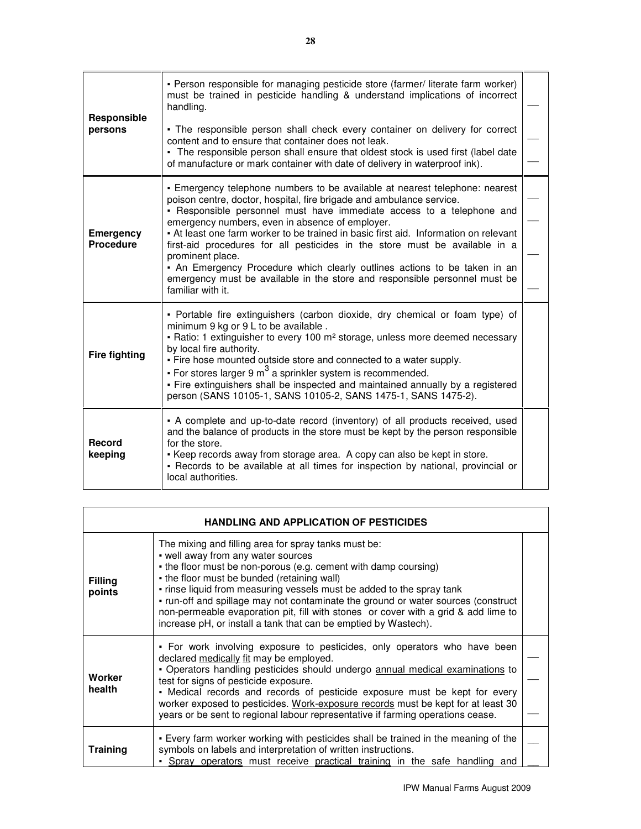| Responsible<br>persons               | - Person responsible for managing pesticide store (farmer/ literate farm worker)<br>must be trained in pesticide handling & understand implications of incorrect<br>handling.<br>- The responsible person shall check every container on delivery for correct<br>content and to ensure that container does not leak.<br>. The responsible person shall ensure that oldest stock is used first (label date<br>of manufacture or mark container with date of delivery in waterproof ink).                                                                                                                                                                    |  |
|--------------------------------------|------------------------------------------------------------------------------------------------------------------------------------------------------------------------------------------------------------------------------------------------------------------------------------------------------------------------------------------------------------------------------------------------------------------------------------------------------------------------------------------------------------------------------------------------------------------------------------------------------------------------------------------------------------|--|
| <b>Emergency</b><br><b>Procedure</b> | - Emergency telephone numbers to be available at nearest telephone: nearest<br>poison centre, doctor, hospital, fire brigade and ambulance service.<br>- Responsible personnel must have immediate access to a telephone and<br>emergency numbers, even in absence of employer.<br>- At least one farm worker to be trained in basic first aid. Information on relevant<br>first-aid procedures for all pesticides in the store must be available in a<br>prominent place.<br>- An Emergency Procedure which clearly outlines actions to be taken in an<br>emergency must be available in the store and responsible personnel must be<br>familiar with it. |  |
| <b>Fire fighting</b>                 | - Portable fire extinguishers (carbon dioxide, dry chemical or foam type) of<br>minimum 9 kg or 9 L to be available.<br>• Ratio: 1 extinguisher to every 100 m <sup>2</sup> storage, unless more deemed necessary<br>by local fire authority.<br>- Fire hose mounted outside store and connected to a water supply.<br>• For stores larger 9 $m^3$ a sprinkler system is recommended.<br>• Fire extinguishers shall be inspected and maintained annually by a registered<br>person (SANS 10105-1, SANS 10105-2, SANS 1475-1, SANS 1475-2).                                                                                                                 |  |
| <b>Record</b><br>keeping             | • A complete and up-to-date record (inventory) of all products received, used<br>and the balance of products in the store must be kept by the person responsible<br>for the store.<br>- Keep records away from storage area. A copy can also be kept in store.<br>- Records to be available at all times for inspection by national, provincial or<br>local authorities.                                                                                                                                                                                                                                                                                   |  |

|                          | <b>HANDLING AND APPLICATION OF PESTICIDES</b>                                                                                                                                                                                                                                                                                                                                                                                                                                                                                       |  |
|--------------------------|-------------------------------------------------------------------------------------------------------------------------------------------------------------------------------------------------------------------------------------------------------------------------------------------------------------------------------------------------------------------------------------------------------------------------------------------------------------------------------------------------------------------------------------|--|
| <b>Filling</b><br>points | The mixing and filling area for spray tanks must be:<br>- well away from any water sources<br>- the floor must be non-porous (e.g. cement with damp coursing)<br>• the floor must be bunded (retaining wall)<br>- rinse liquid from measuring vessels must be added to the spray tank<br>• run-off and spillage may not contaminate the ground or water sources (construct<br>non-permeable evaporation pit, fill with stones or cover with a grid & add lime to<br>increase pH, or install a tank that can be emptied by Wastech). |  |
| Worker<br>health         | • For work involving exposure to pesticides, only operators who have been<br>declared medically fit may be employed.<br>- Operators handling pesticides should undergo annual medical examinations to<br>test for signs of pesticide exposure.<br>- Medical records and records of pesticide exposure must be kept for every<br>worker exposed to pesticides. Work-exposure records must be kept for at least 30<br>years or be sent to regional labour representative if farming operations cease.                                 |  |
| <b>Training</b>          | . Every farm worker working with pesticides shall be trained in the meaning of the<br>symbols on labels and interpretation of written instructions.<br>. Spray operators must receive practical training in the safe handling and                                                                                                                                                                                                                                                                                                   |  |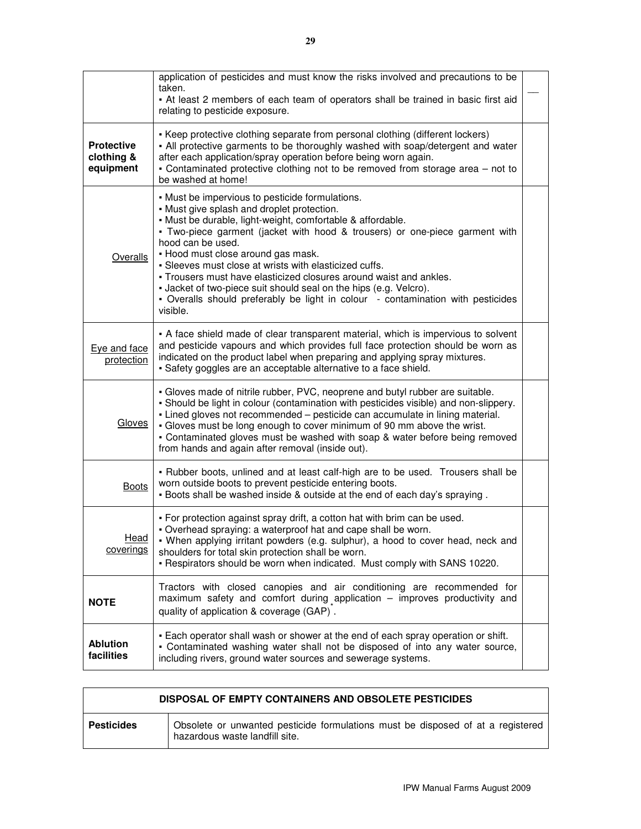|                                              | application of pesticides and must know the risks involved and precautions to be<br>taken.<br>- At least 2 members of each team of operators shall be trained in basic first aid<br>relating to pesticide exposure.                                                                                                                                                                                                                                                                                                                                                                                       |  |
|----------------------------------------------|-----------------------------------------------------------------------------------------------------------------------------------------------------------------------------------------------------------------------------------------------------------------------------------------------------------------------------------------------------------------------------------------------------------------------------------------------------------------------------------------------------------------------------------------------------------------------------------------------------------|--|
| <b>Protective</b><br>clothing &<br>equipment | - Keep protective clothing separate from personal clothing (different lockers)<br>- All protective garments to be thoroughly washed with soap/detergent and water<br>after each application/spray operation before being worn again.<br>• Contaminated protective clothing not to be removed from storage area - not to<br>be washed at home!                                                                                                                                                                                                                                                             |  |
| Overalls                                     | - Must be impervious to pesticide formulations.<br>- Must give splash and droplet protection.<br>• Must be durable, light-weight, comfortable & affordable.<br>- Two-piece garment (jacket with hood & trousers) or one-piece garment with<br>hood can be used.<br>- Hood must close around gas mask.<br>- Sleeves must close at wrists with elasticized cuffs.<br>- Trousers must have elasticized closures around waist and ankles.<br>- Jacket of two-piece suit should seal on the hips (e.g. Velcro).<br>- Overalls should preferably be light in colour - contamination with pesticides<br>visible. |  |
| Eye and face<br>protection                   | • A face shield made of clear transparent material, which is impervious to solvent<br>and pesticide vapours and which provides full face protection should be worn as<br>indicated on the product label when preparing and applying spray mixtures.<br>- Safety goggles are an acceptable alternative to a face shield.                                                                                                                                                                                                                                                                                   |  |
| <b>Gloves</b>                                | - Gloves made of nitrile rubber, PVC, neoprene and butyl rubber are suitable.<br>- Should be light in colour (contamination with pesticides visible) and non-slippery.<br>- Lined gloves not recommended - pesticide can accumulate in lining material.<br>- Gloves must be long enough to cover minimum of 90 mm above the wrist.<br>- Contaminated gloves must be washed with soap & water before being removed<br>from hands and again after removal (inside out).                                                                                                                                     |  |
| <b>Boots</b>                                 | . Rubber boots, unlined and at least calf-high are to be used. Trousers shall be<br>worn outside boots to prevent pesticide entering boots.<br>- Boots shall be washed inside & outside at the end of each day's spraying.                                                                                                                                                                                                                                                                                                                                                                                |  |
| Head<br>coverings                            | . For protection against spray drift, a cotton hat with brim can be used.<br>- Overhead spraying: a waterproof hat and cape shall be worn.<br>• When applying irritant powders (e.g. sulphur), a hood to cover head, neck and<br>shoulders for total skin protection shall be worn.<br>- Respirators should be worn when indicated. Must comply with SANS 10220.                                                                                                                                                                                                                                          |  |
| <b>NOTE</b>                                  | Tractors with closed canopies and air conditioning are recommended for<br>maximum safety and comfort during application - improves productivity and<br>quality of application & coverage (GAP).                                                                                                                                                                                                                                                                                                                                                                                                           |  |
| <b>Ablution</b><br>facilities                | - Each operator shall wash or shower at the end of each spray operation or shift.<br>- Contaminated washing water shall not be disposed of into any water source,<br>including rivers, ground water sources and sewerage systems.                                                                                                                                                                                                                                                                                                                                                                         |  |

| <b>DISPOSAL OF EMPTY CONTAINERS AND OBSOLETE PESTICIDES</b> |                                                                                                                   |  |  |  |  |  |
|-------------------------------------------------------------|-------------------------------------------------------------------------------------------------------------------|--|--|--|--|--|
| <b>Pesticides</b>                                           | Obsolete or unwanted pesticide formulations must be disposed of at a registered<br>hazardous waste landfill site. |  |  |  |  |  |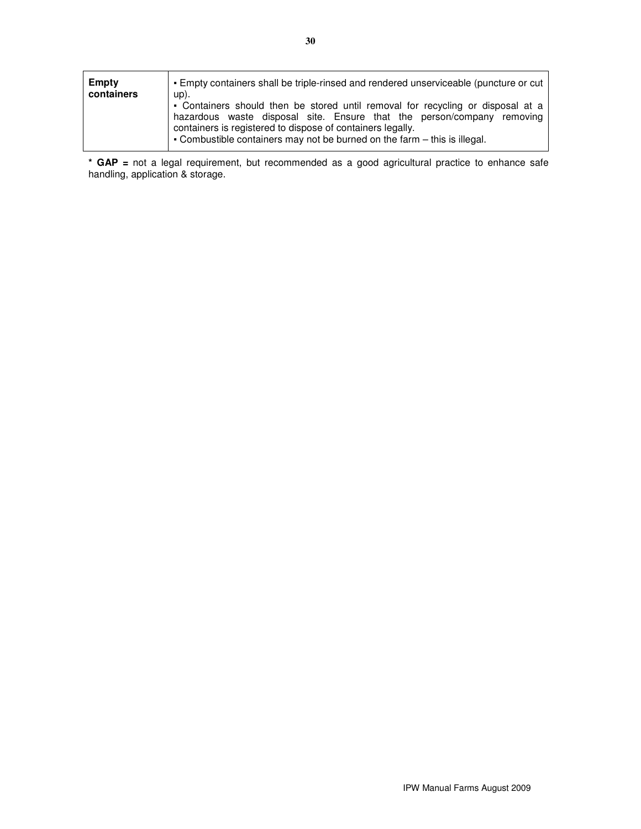| Empty      | - Empty containers shall be triple-rinsed and rendered unserviceable (puncture or cut                                                                                                                                                                                                                |
|------------|------------------------------------------------------------------------------------------------------------------------------------------------------------------------------------------------------------------------------------------------------------------------------------------------------|
| containers | up).                                                                                                                                                                                                                                                                                                 |
|            | • Containers should then be stored until removal for recycling or disposal at a<br>hazardous waste disposal site. Ensure that the person/company removing<br>containers is registered to dispose of containers legally.<br>• Combustible containers may not be burned on the farm – this is illegal. |

**\* GAP =** not a legal requirement, but recommended as a good agricultural practice to enhance safe handling, application & storage.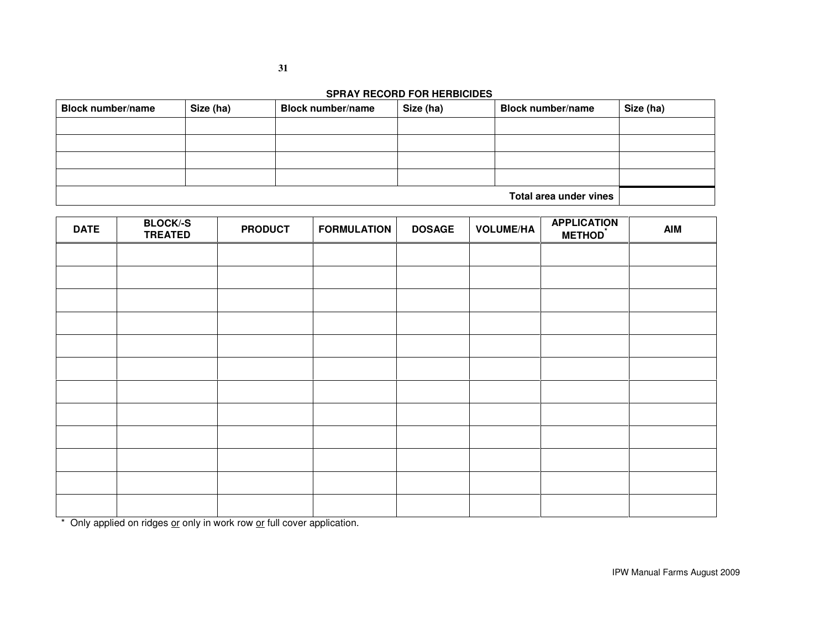| <b>Block number/name</b> | Size (ha) | <b>Block number/name</b> | Size (ha) | <b>Block number/name</b> |  |
|--------------------------|-----------|--------------------------|-----------|--------------------------|--|
|                          |           |                          |           |                          |  |
|                          |           |                          |           |                          |  |
|                          |           |                          |           |                          |  |
|                          |           |                          |           |                          |  |
|                          |           |                          |           | Total area under vines   |  |

| <b>DATE</b> | <b>BLOCK/-S</b><br><b>TREATED</b> | <b>PRODUCT</b> | <b>FORMULATION</b> | <b>DOSAGE</b> | <b>VOLUME/HA</b> | <b>APPLICATION</b><br><b>METHOD</b> | <b>AIM</b> |
|-------------|-----------------------------------|----------------|--------------------|---------------|------------------|-------------------------------------|------------|
|             |                                   |                |                    |               |                  |                                     |            |
|             |                                   |                |                    |               |                  |                                     |            |
|             |                                   |                |                    |               |                  |                                     |            |
|             |                                   |                |                    |               |                  |                                     |            |
|             |                                   |                |                    |               |                  |                                     |            |
|             |                                   |                |                    |               |                  |                                     |            |
|             |                                   |                |                    |               |                  |                                     |            |
|             |                                   |                |                    |               |                  |                                     |            |
|             |                                   |                |                    |               |                  |                                     |            |
|             |                                   |                |                    |               |                  |                                     |            |
|             |                                   |                |                    |               |                  |                                     |            |
|             |                                   |                |                    |               |                  |                                     |            |

\* Only applied on ridges <u>or</u> only in work row <u>or</u> full cover application.